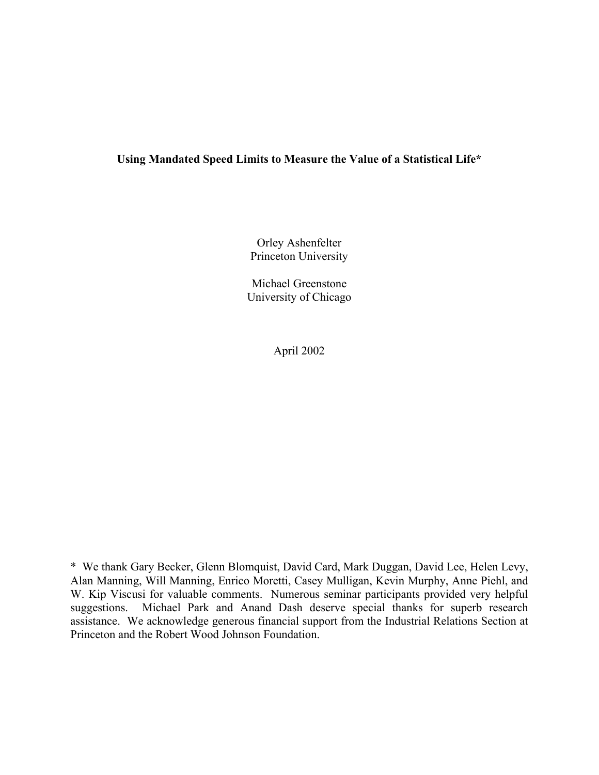# **Using Mandated Speed Limits to Measure the Value of a Statistical Life\***

Orley Ashenfelter Princeton University

Michael Greenstone University of Chicago

April 2002

\* We thank Gary Becker, Glenn Blomquist, David Card, Mark Duggan, David Lee, Helen Levy, Alan Manning, Will Manning, Enrico Moretti, Casey Mulligan, Kevin Murphy, Anne Piehl, and W. Kip Viscusi for valuable comments. Numerous seminar participants provided very helpful suggestions. Michael Park and Anand Dash deserve special thanks for superb research assistance. We acknowledge generous financial support from the Industrial Relations Section at Princeton and the Robert Wood Johnson Foundation.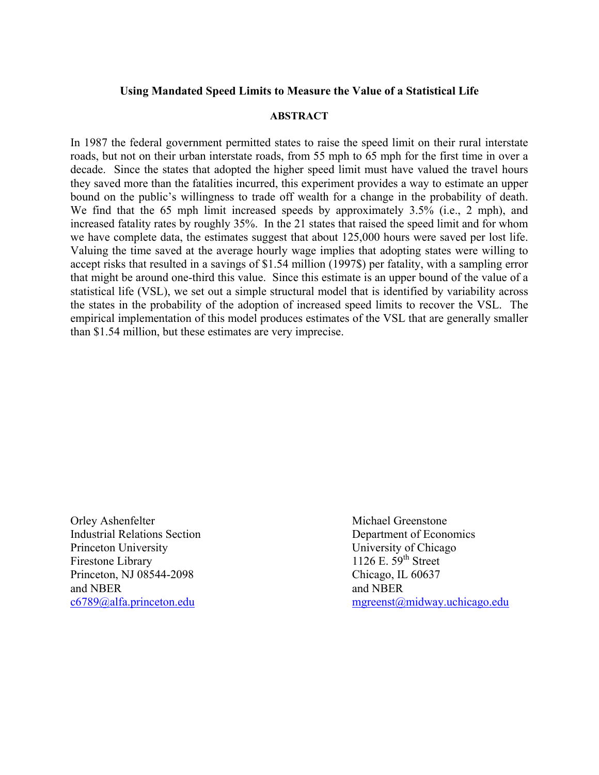## **Using Mandated Speed Limits to Measure the Value of a Statistical Life**

#### **ABSTRACT**

In 1987 the federal government permitted states to raise the speed limit on their rural interstate roads, but not on their urban interstate roads, from 55 mph to 65 mph for the first time in over a decade. Since the states that adopted the higher speed limit must have valued the travel hours they saved more than the fatalities incurred, this experiment provides a way to estimate an upper bound on the public's willingness to trade off wealth for a change in the probability of death. We find that the 65 mph limit increased speeds by approximately 3.5% (i.e., 2 mph), and increased fatality rates by roughly 35%. In the 21 states that raised the speed limit and for whom we have complete data, the estimates suggest that about 125,000 hours were saved per lost life. Valuing the time saved at the average hourly wage implies that adopting states were willing to accept risks that resulted in a savings of \$1.54 million (1997\$) per fatality, with a sampling error that might be around one-third this value. Since this estimate is an upper bound of the value of a statistical life (VSL), we set out a simple structural model that is identified by variability across the states in the probability of the adoption of increased speed limits to recover the VSL. The empirical implementation of this model produces estimates of the VSL that are generally smaller than \$1.54 million, but these estimates are very imprecise.

Orley Ashenfelter Michael Greenstone Industrial Relations Section Department of Economics Princeton University University University of Chicago Firestone Library 1126 E. 59<sup>th</sup> Street Princeton, NJ 08544-2098 Chicago, IL 60637 and NBER and NBER

[c6789@alfa.princeton.edu](mailto:c6789@alfa.princeton.edu) [mgreenst@midway.uchicago.edu](mailto:mgreenst@midway.uchicago.edu)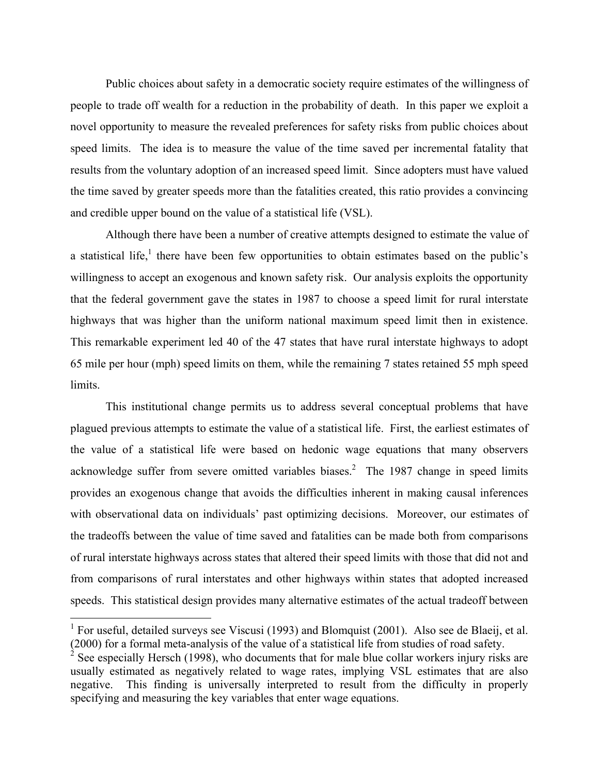Public choices about safety in a democratic society require estimates of the willingness of people to trade off wealth for a reduction in the probability of death. In this paper we exploit a novel opportunity to measure the revealed preferences for safety risks from public choices about speed limits. The idea is to measure the value of the time saved per incremental fatality that results from the voluntary adoption of an increased speed limit. Since adopters must have valued the time saved by greater speeds more than the fatalities created, this ratio provides a convincing and credible upper bound on the value of a statistical life (VSL).

 Although there have been a number of creative attempts designed to estimate the value of a statistical life,<sup>[1](#page-2-0)</sup> there have been few opportunities to obtain estimates based on the public's willingness to accept an exogenous and known safety risk. Our analysis exploits the opportunity that the federal government gave the states in 1987 to choose a speed limit for rural interstate highways that was higher than the uniform national maximum speed limit then in existence. This remarkable experiment led 40 of the 47 states that have rural interstate highways to adopt 65 mile per hour (mph) speed limits on them, while the remaining 7 states retained 55 mph speed limits.

 This institutional change permits us to address several conceptual problems that have plagued previous attempts to estimate the value of a statistical life. First, the earliest estimates of the value of a statistical life were based on hedonic wage equations that many observers acknowledge suffer from severe omitted variables biases.<sup>2</sup> The 1987 change in speed limits provides an exogenous change that avoids the difficulties inherent in making causal inferences with observational data on individuals' past optimizing decisions. Moreover, our estimates of the tradeoffs between the value of time saved and fatalities can be made both from comparisons of rural interstate highways across states that altered their speed limits with those that did not and from comparisons of rural interstates and other highways within states that adopted increased speeds. This statistical design provides many alternative estimates of the actual tradeoff between

<span id="page-2-0"></span><sup>&</sup>lt;sup>1</sup> For useful, detailed surveys see Viscusi (1993) and Blomquist (2001). Also see de Blaeij, et al. (2000) for a formal meta-analysis of the value of a statistical life from studies of road safety.

<span id="page-2-1"></span><sup>&</sup>lt;sup>2</sup> See especially Hersch (1998), who documents that for male blue collar workers injury risks are usually estimated as negatively related to wage rates, implying VSL estimates that are also negative. This finding is universally interpreted to result from the difficulty in properly specifying and measuring the key variables that enter wage equations.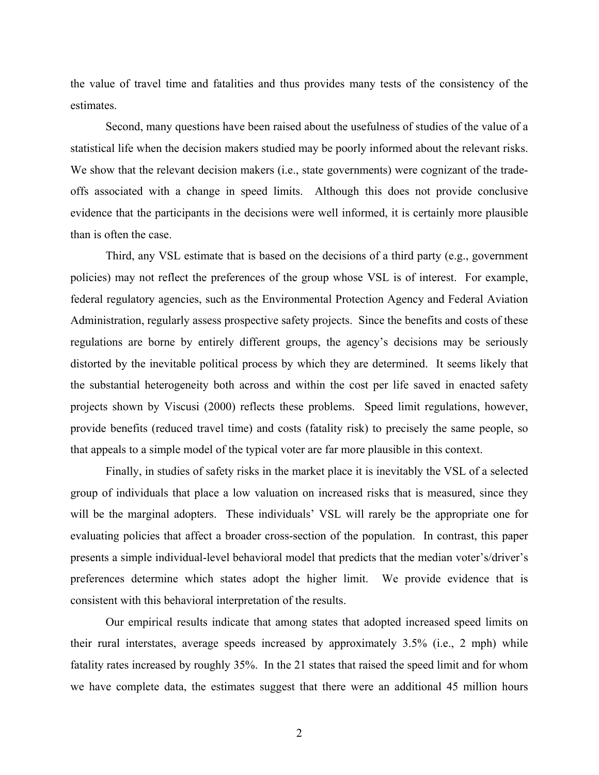the value of travel time and fatalities and thus provides many tests of the consistency of the estimates.

Second, many questions have been raised about the usefulness of studies of the value of a statistical life when the decision makers studied may be poorly informed about the relevant risks. We show that the relevant decision makers (i.e., state governments) were cognizant of the tradeoffs associated with a change in speed limits. Although this does not provide conclusive evidence that the participants in the decisions were well informed, it is certainly more plausible than is often the case.

Third, any VSL estimate that is based on the decisions of a third party (e.g., government policies) may not reflect the preferences of the group whose VSL is of interest. For example, federal regulatory agencies, such as the Environmental Protection Agency and Federal Aviation Administration, regularly assess prospective safety projects. Since the benefits and costs of these regulations are borne by entirely different groups, the agency's decisions may be seriously distorted by the inevitable political process by which they are determined. It seems likely that the substantial heterogeneity both across and within the cost per life saved in enacted safety projects shown by Viscusi (2000) reflects these problems. Speed limit regulations, however, provide benefits (reduced travel time) and costs (fatality risk) to precisely the same people, so that appeals to a simple model of the typical voter are far more plausible in this context.

Finally, in studies of safety risks in the market place it is inevitably the VSL of a selected group of individuals that place a low valuation on increased risks that is measured, since they will be the marginal adopters. These individuals' VSL will rarely be the appropriate one for evaluating policies that affect a broader cross-section of the population. In contrast, this paper presents a simple individual-level behavioral model that predicts that the median voter's/driver's preferences determine which states adopt the higher limit. We provide evidence that is consistent with this behavioral interpretation of the results.

Our empirical results indicate that among states that adopted increased speed limits on their rural interstates, average speeds increased by approximately 3.5% (i.e., 2 mph) while fatality rates increased by roughly 35%. In the 21 states that raised the speed limit and for whom we have complete data, the estimates suggest that there were an additional 45 million hours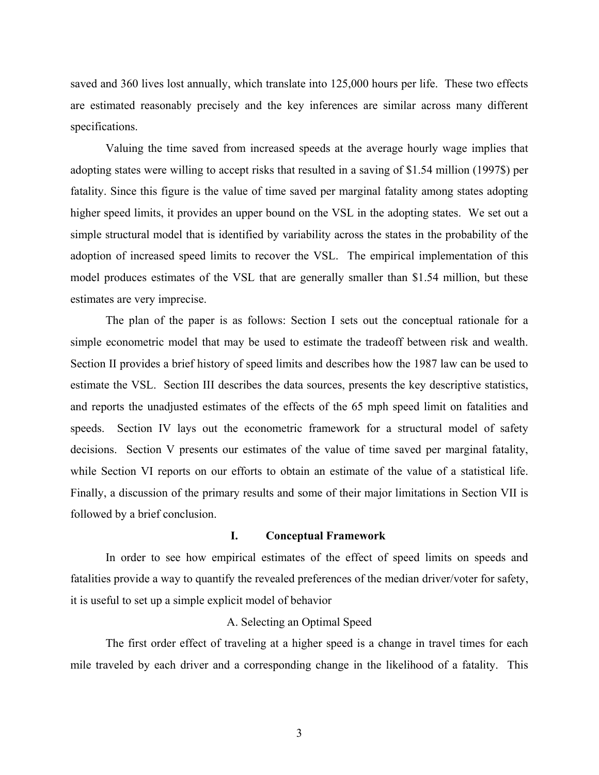saved and 360 lives lost annually, which translate into 125,000 hours per life. These two effects are estimated reasonably precisely and the key inferences are similar across many different specifications.

Valuing the time saved from increased speeds at the average hourly wage implies that adopting states were willing to accept risks that resulted in a saving of \$1.54 million (1997\$) per fatality. Since this figure is the value of time saved per marginal fatality among states adopting higher speed limits, it provides an upper bound on the VSL in the adopting states. We set out a simple structural model that is identified by variability across the states in the probability of the adoption of increased speed limits to recover the VSL. The empirical implementation of this model produces estimates of the VSL that are generally smaller than \$1.54 million, but these estimates are very imprecise.

The plan of the paper is as follows: Section I sets out the conceptual rationale for a simple econometric model that may be used to estimate the tradeoff between risk and wealth. Section II provides a brief history of speed limits and describes how the 1987 law can be used to estimate the VSL. Section III describes the data sources, presents the key descriptive statistics, and reports the unadjusted estimates of the effects of the 65 mph speed limit on fatalities and speeds. Section IV lays out the econometric framework for a structural model of safety decisions. Section V presents our estimates of the value of time saved per marginal fatality, while Section VI reports on our efforts to obtain an estimate of the value of a statistical life. Finally, a discussion of the primary results and some of their major limitations in Section VII is followed by a brief conclusion.

### **I. Conceptual Framework**

In order to see how empirical estimates of the effect of speed limits on speeds and fatalities provide a way to quantify the revealed preferences of the median driver/voter for safety, it is useful to set up a simple explicit model of behavior

### A. Selecting an Optimal Speed

The first order effect of traveling at a higher speed is a change in travel times for each mile traveled by each driver and a corresponding change in the likelihood of a fatality. This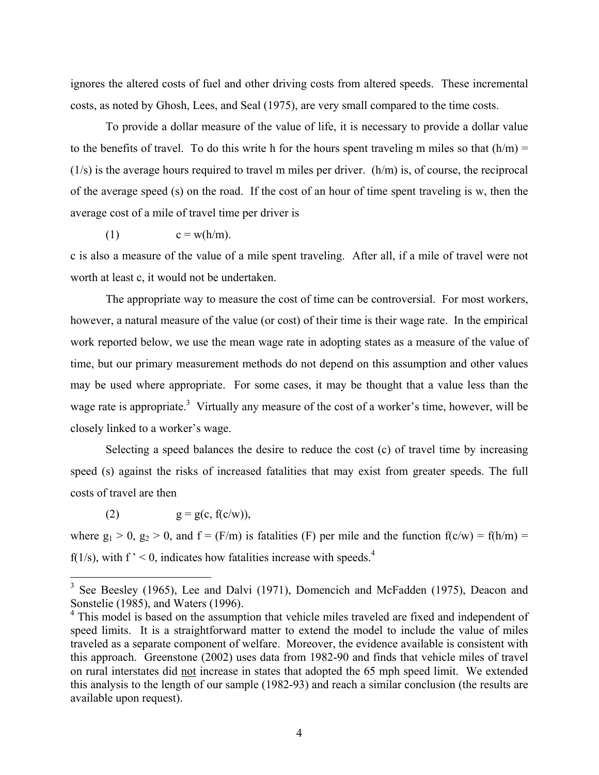ignores the altered costs of fuel and other driving costs from altered speeds. These incremental costs, as noted by Ghosh, Lees, and Seal (1975), are very small compared to the time costs.

To provide a dollar measure of the value of life, it is necessary to provide a dollar value to the benefits of travel. To do this write h for the hours spent traveling m miles so that  $(h/m)$  =  $(1/s)$  is the average hours required to travel m miles per driver.  $(h/m)$  is, of course, the reciprocal of the average speed (s) on the road. If the cost of an hour of time spent traveling is w, then the average cost of a mile of travel time per driver is

$$
(1) \t c = w(h/m).
$$

c is also a measure of the value of a mile spent traveling. After all, if a mile of travel were not worth at least c, it would not be undertaken.

The appropriate way to measure the cost of time can be controversial. For most workers, however, a natural measure of the value (or cost) of their time is their wage rate. In the empirical work reported below, we use the mean wage rate in adopting states as a measure of the value of time, but our primary measurement methods do not depend on this assumption and other values may be used where appropriate. For some cases, it may be thought that a value less than the wage rate is appropriate.<sup>[3](#page-5-0)</sup> Virtually any measure of the cost of a worker's time, however, will be closely linked to a worker's wage.

Selecting a speed balances the desire to reduce the cost (c) of travel time by increasing speed (s) against the risks of increased fatalities that may exist from greater speeds. The full costs of travel are then

(2)  $g = g(c, f(c/w)),$ 

where  $g_1 > 0$ ,  $g_2 > 0$ , and  $f = (F/m)$  is fatalities (F) per mile and the function  $f(c/w) = f(h/m) =$  $f(1/s)$ , with  $f' < 0$ , indicates how fatalities increase with speeds.<sup>[4](#page-5-1)</sup>

<span id="page-5-0"></span><sup>&</sup>lt;sup>3</sup> See Beesley (1965), Lee and Dalvi (1971), Domencich and McFadden (1975), Deacon and Sonstelie (1985), and Waters (1996).

<span id="page-5-1"></span><sup>&</sup>lt;sup>4</sup> This model is based on the assumption that vehicle miles traveled are fixed and independent of speed limits. It is a straightforward matter to extend the model to include the value of miles traveled as a separate component of welfare. Moreover, the evidence available is consistent with this approach. Greenstone (2002) uses data from 1982-90 and finds that vehicle miles of travel on rural interstates did not increase in states that adopted the 65 mph speed limit. We extended this analysis to the length of our sample (1982-93) and reach a similar conclusion (the results are available upon request).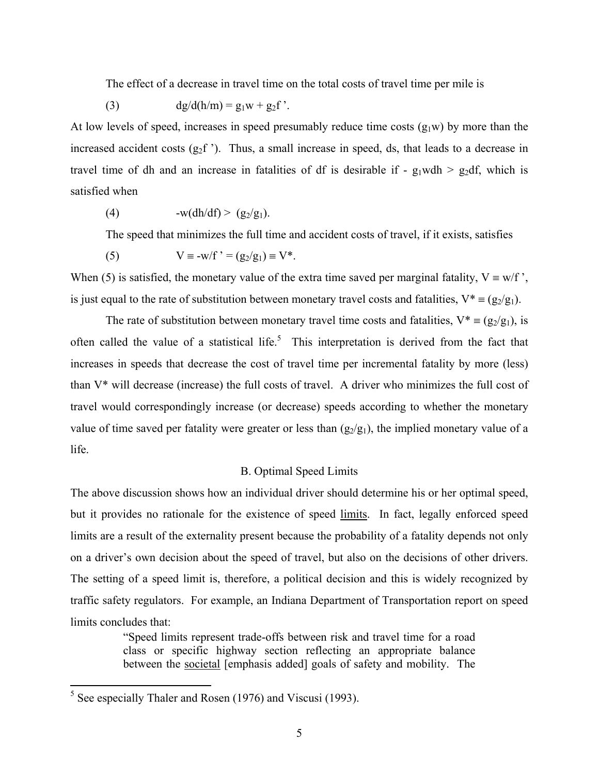The effect of a decrease in travel time on the total costs of travel time per mile is

(3) 
$$
dg/d(h/m) = g_1 w + g_2 f'
$$
.

At low levels of speed, increases in speed presumably reduce time costs  $(g_1w)$  by more than the increased accident costs  $(g_2f)$ . Thus, a small increase in speed, ds, that leads to a decrease in travel time of dh and an increase in fatalities of df is desirable if -  $g_1wdh > g_2df$ , which is satisfied when

(4)  $-w(dh/df) > (g_2/g_1).$ 

The speed that minimizes the full time and accident costs of travel, if it exists, satisfies

(5)  $V = -w/f' = (g_2/g_1) \equiv V^*$ .

When (5) is satisfied, the monetary value of the extra time saved per marginal fatality,  $V = w/f$ , is just equal to the rate of substitution between monetary travel costs and fatalities,  $V^* = (g_2/g_1)$ .

The rate of substitution between monetary travel time costs and fatalities,  $V^* = (g_2/g_1)$ , is often called the value of a statistical life.<sup>[5](#page-6-0)</sup> This interpretation is derived from the fact that increases in speeds that decrease the cost of travel time per incremental fatality by more (less) than V\* will decrease (increase) the full costs of travel. A driver who minimizes the full cost of travel would correspondingly increase (or decrease) speeds according to whether the monetary value of time saved per fatality were greater or less than  $(g_2/g_1)$ , the implied monetary value of a life.

### B. Optimal Speed Limits

The above discussion shows how an individual driver should determine his or her optimal speed, but it provides no rationale for the existence of speed limits. In fact, legally enforced speed limits are a result of the externality present because the probability of a fatality depends not only on a driver's own decision about the speed of travel, but also on the decisions of other drivers. The setting of a speed limit is, therefore, a political decision and this is widely recognized by traffic safety regulators. For example, an Indiana Department of Transportation report on speed limits concludes that:

> "Speed limits represent trade-offs between risk and travel time for a road class or specific highway section reflecting an appropriate balance between the societal [emphasis added] goals of safety and mobility. The

<span id="page-6-0"></span><sup>&</sup>lt;sup>5</sup> See especially Thaler and Rosen (1976) and Viscusi (1993).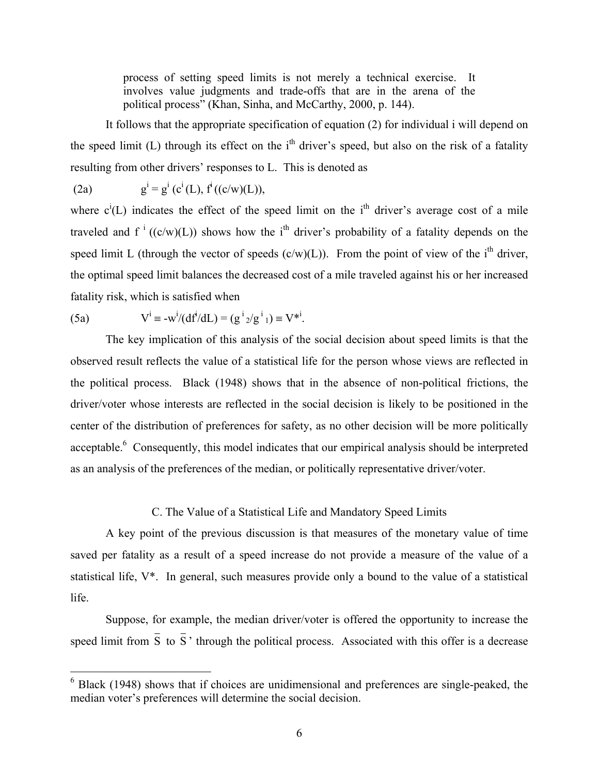process of setting speed limits is not merely a technical exercise. It involves value judgments and trade-offs that are in the arena of the political process" (Khan, Sinha, and McCarthy, 2000, p. 144).

It follows that the appropriate specification of equation (2) for individual i will depend on the speed limit (L) through its effect on the i<sup>th</sup> driver's speed, but also on the risk of a fatality resulting from other drivers' responses to L. This is denoted as

 $(2a)$  $i = g^{i} (c^{i}(L), f^{i} ((c/w)(L)),$ 

where  $c^{i}(L)$  indicates the effect of the speed limit on the i<sup>th</sup> driver's average cost of a mile traveled and  $f^{i}$  ((c/w)(L)) shows how the i<sup>th</sup> driver's probability of a fatality depends on the speed limit L (through the vector of speeds  $(c/w)(L)$ ). From the point of view of the i<sup>th</sup> driver, the optimal speed limit balances the decreased cost of a mile traveled against his or her increased fatality risk, which is satisfied when

.

(5a) 
$$
V^i \equiv -w^i/(df^i/dL) = (g^i{}_2/g^i{}_1) \equiv V^{*i}
$$

 $\overline{a}$ 

The key implication of this analysis of the social decision about speed limits is that the observed result reflects the value of a statistical life for the person whose views are reflected in the political process. Black (1948) shows that in the absence of non-political frictions, the driver/voter whose interests are reflected in the social decision is likely to be positioned in the center of the distribution of preferences for safety, as no other decision will be more politically acceptable.<sup>[6](#page-7-0)</sup> Consequently, this model indicates that our empirical analysis should be interpreted as an analysis of the preferences of the median, or politically representative driver/voter.

### C. The Value of a Statistical Life and Mandatory Speed Limits

A key point of the previous discussion is that measures of the monetary value of time saved per fatality as a result of a speed increase do not provide a measure of the value of a statistical life, V\*. In general, such measures provide only a bound to the value of a statistical life.

Suppose, for example, the median driver/voter is offered the opportunity to increase the speed limit from  $\bar{S}$  to  $\bar{S}$  ' through the political process. Associated with this offer is a decrease

<span id="page-7-0"></span> $6$  Black (1948) shows that if choices are unidimensional and preferences are single-peaked, the median voter's preferences will determine the social decision.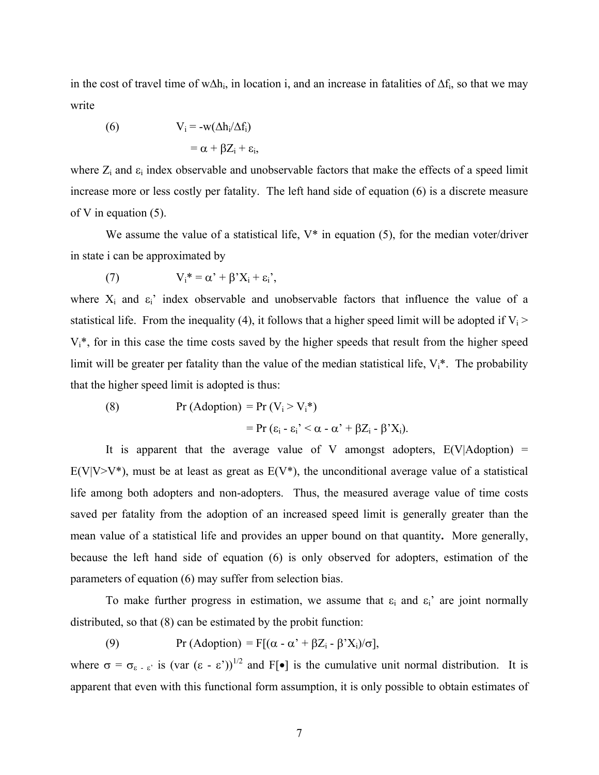in the cost of travel time of w∆h<sub>i</sub>, in location i, and an increase in fatalities of  $\Delta f_i$ , so that we may write

(6) 
$$
V_i = -w(\Delta h_i/\Delta f_i)
$$

$$
= \alpha + \beta Z_i + \varepsilon_i,
$$

where  $Z_i$  and  $\varepsilon_i$  index observable and unobservable factors that make the effects of a speed limit increase more or less costly per fatality. The left hand side of equation (6) is a discrete measure of V in equation (5).

We assume the value of a statistical life,  $V^*$  in equation (5), for the median voter/driver in state i can be approximated by

(7) 
$$
V_i^* = \alpha' + \beta' X_i + \varepsilon_i',
$$

where  $X_i$  and  $\varepsilon_i$  index observable and unobservable factors that influence the value of a statistical life. From the inequality (4), it follows that a higher speed limit will be adopted if  $V_i$  >  $V_i^*$ , for in this case the time costs saved by the higher speeds that result from the higher speed limit will be greater per fatality than the value of the median statistical life,  $V_i^*$ . The probability that the higher speed limit is adopted is thus:

(8) 
$$
\Pr(Adoption) = \Pr(V_i > V_i^*)
$$

$$
= \Pr(\varepsilon_i - \varepsilon_i^2 < \alpha - \alpha^2 + \beta Z_i - \beta^2 X_i).
$$

It is apparent that the average value of V amongst adopters,  $E(V|Adoption)$  =  $E(V|V>V^*)$ , must be at least as great as  $E(V^*)$ , the unconditional average value of a statistical life among both adopters and non-adopters. Thus, the measured average value of time costs saved per fatality from the adoption of an increased speed limit is generally greater than the mean value of a statistical life and provides an upper bound on that quantity**.** More generally, because the left hand side of equation (6) is only observed for adopters, estimation of the parameters of equation (6) may suffer from selection bias.

To make further progress in estimation, we assume that  $\varepsilon_i$  and  $\varepsilon_i$ ' are joint normally distributed, so that (8) can be estimated by the probit function:

(9) Pr (Adoption) = F[( $\alpha$  -  $\alpha$ ' +  $\beta Z_i$  -  $\beta' X_i$ )/ $\sigma$ ],

where  $\sigma = \sigma_{\epsilon - \epsilon}$  is (var  $(\epsilon - \epsilon')^{1/2}$  and  $F[\bullet]$  is the cumulative unit normal distribution. It is apparent that even with this functional form assumption, it is only possible to obtain estimates of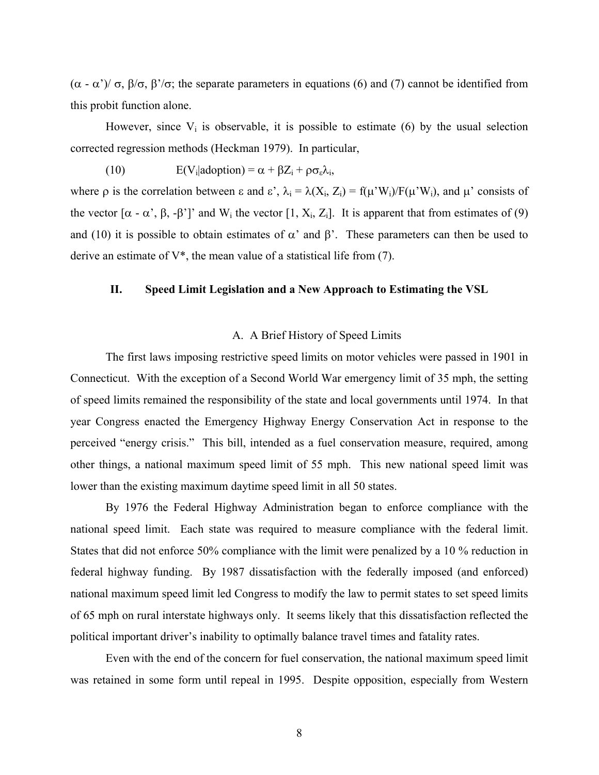(α - α')/ σ, β/σ, β'/σ; the separate parameters in equations (6) and (7) cannot be identified from this probit function alone.

However, since  $V_i$  is observable, it is possible to estimate (6) by the usual selection corrected regression methods (Heckman 1979). In particular,

(10)  $E(V_i|adoption) = \alpha + \beta Z_i + \rho \sigma_{\varepsilon} \lambda_i$ 

where  $\rho$  is the correlation between  $\varepsilon$  and  $\varepsilon'$ ,  $\lambda_i = \lambda(X_i, Z_i) = f(\mu'W_i)/F(\mu'W_i)$ , and  $\mu'$  consists of the vector  $[α - α', β, -β']$  and W<sub>i</sub> the vector  $[1, X_i, Z_i]$ . It is apparent that from estimates of (9) and (10) it is possible to obtain estimates of  $\alpha'$  and  $\beta'$ . These parameters can then be used to derive an estimate of  $V^*$ , the mean value of a statistical life from (7).

#### **II. Speed Limit Legislation and a New Approach to Estimating the VSL**

#### A. A Brief History of Speed Limits

The first laws imposing restrictive speed limits on motor vehicles were passed in 1901 in Connecticut. With the exception of a Second World War emergency limit of 35 mph, the setting of speed limits remained the responsibility of the state and local governments until 1974. In that year Congress enacted the Emergency Highway Energy Conservation Act in response to the perceived "energy crisis." This bill, intended as a fuel conservation measure, required, among other things, a national maximum speed limit of 55 mph. This new national speed limit was lower than the existing maximum daytime speed limit in all 50 states.

By 1976 the Federal Highway Administration began to enforce compliance with the national speed limit. Each state was required to measure compliance with the federal limit. States that did not enforce 50% compliance with the limit were penalized by a 10 % reduction in federal highway funding. By 1987 dissatisfaction with the federally imposed (and enforced) national maximum speed limit led Congress to modify the law to permit states to set speed limits of 65 mph on rural interstate highways only. It seems likely that this dissatisfaction reflected the political important driver's inability to optimally balance travel times and fatality rates.

Even with the end of the concern for fuel conservation, the national maximum speed limit was retained in some form until repeal in 1995. Despite opposition, especially from Western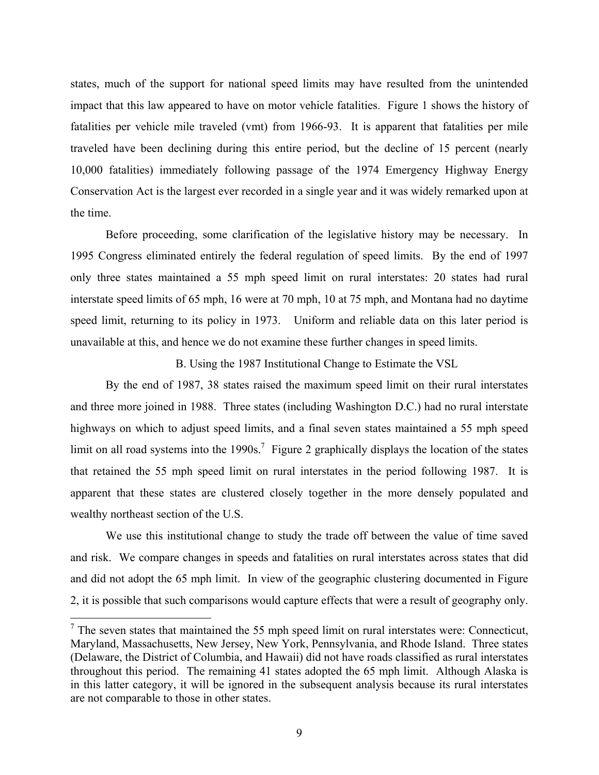states, much of the support for national speed limits may have resulted from the unintended impact that this law appeared to have on motor vehicle fatalities. Figure 1 shows the history of fatalities per vehicle mile traveled (vmt) from 1966-93. It is apparent that fatalities per mile traveled have been declining during this entire period, but the decline of 15 percent (nearly 10,000 fatalities) immediately following passage of the 1974 Emergency Highway Energy Conservation Act is the largest ever recorded in a single year and it was widely remarked upon at the time.

Before proceeding, some clarification of the legislative history may be necessary. In 1995 Congress eliminated entirely the federal regulation of speed limits. By the end of 1997 only three states maintained a 55 mph speed limit on rural interstates: 20 states had rural interstate speed limits of 65 mph, 16 were at 70 mph, 10 at 75 mph, and Montana had no daytime speed limit, returning to its policy in 1973. Uniform and reliable data on this later period is unavailable at this, and hence we do not examine these further changes in speed limits.

B. Using the 1987 Institutional Change to Estimate the VSL

By the end of 1987, 38 states raised the maximum speed limit on their rural interstates and three more joined in 1988. Three states (including Washington D.C.) had no rural interstate highways on which to adjust speed limits, and a final seven states maintained a 55 mph speed limit on all road systems into the 1990s.<sup>[7](#page-10-0)</sup> Figure 2 graphically displays the location of the states that retained the 55 mph speed limit on rural interstates in the period following 1987. It is apparent that these states are clustered closely together in the more densely populated and wealthy northeast section of the U.S.

We use this institutional change to study the trade off between the value of time saved and risk. We compare changes in speeds and fatalities on rural interstates across states that did and did not adopt the 65 mph limit. In view of the geographic clustering documented in Figure 2, it is possible that such comparisons would capture effects that were a result of geography only.

<span id="page-10-0"></span> $<sup>7</sup>$  The seven states that maintained the 55 mph speed limit on rural interstates were: Connecticut,</sup> Maryland, Massachusetts, New Jersey, New York, Pennsylvania, and Rhode Island. Three states (Delaware, the District of Columbia, and Hawaii) did not have roads classified as rural interstates throughout this period. The remaining 41 states adopted the 65 mph limit. Although Alaska is in this latter category, it will be ignored in the subsequent analysis because its rural interstates are not comparable to those in other states.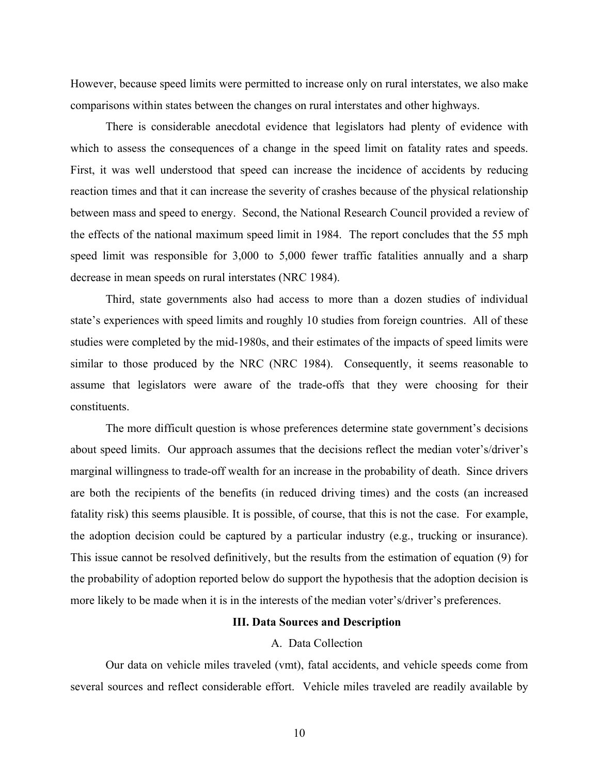However, because speed limits were permitted to increase only on rural interstates, we also make comparisons within states between the changes on rural interstates and other highways.

There is considerable anecdotal evidence that legislators had plenty of evidence with which to assess the consequences of a change in the speed limit on fatality rates and speeds. First, it was well understood that speed can increase the incidence of accidents by reducing reaction times and that it can increase the severity of crashes because of the physical relationship between mass and speed to energy. Second, the National Research Council provided a review of the effects of the national maximum speed limit in 1984. The report concludes that the 55 mph speed limit was responsible for 3,000 to 5,000 fewer traffic fatalities annually and a sharp decrease in mean speeds on rural interstates (NRC 1984).

Third, state governments also had access to more than a dozen studies of individual state's experiences with speed limits and roughly 10 studies from foreign countries. All of these studies were completed by the mid-1980s, and their estimates of the impacts of speed limits were similar to those produced by the NRC (NRC 1984). Consequently, it seems reasonable to assume that legislators were aware of the trade-offs that they were choosing for their constituents.

The more difficult question is whose preferences determine state government's decisions about speed limits. Our approach assumes that the decisions reflect the median voter's/driver's marginal willingness to trade-off wealth for an increase in the probability of death. Since drivers are both the recipients of the benefits (in reduced driving times) and the costs (an increased fatality risk) this seems plausible. It is possible, of course, that this is not the case. For example, the adoption decision could be captured by a particular industry (e.g., trucking or insurance). This issue cannot be resolved definitively, but the results from the estimation of equation (9) for the probability of adoption reported below do support the hypothesis that the adoption decision is more likely to be made when it is in the interests of the median voter's/driver's preferences.

### **III. Data Sources and Description**

### A. Data Collection

Our data on vehicle miles traveled (vmt), fatal accidents, and vehicle speeds come from several sources and reflect considerable effort. Vehicle miles traveled are readily available by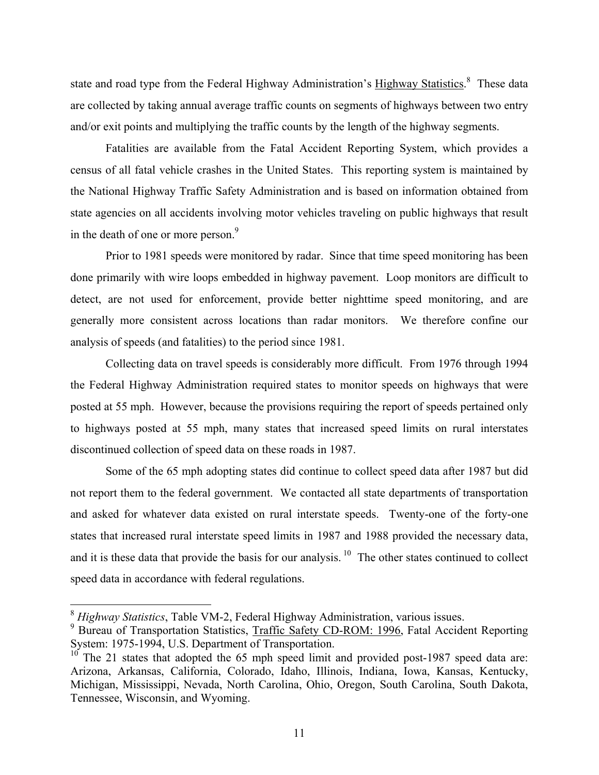state and road type from the Federal Highway Administration's Highway Statistics.<sup>[8](#page-12-0)</sup> These data are collected by taking annual average traffic counts on segments of highways between two entry and/or exit points and multiplying the traffic counts by the length of the highway segments.

Fatalities are available from the Fatal Accident Reporting System, which provides a census of all fatal vehicle crashes in the United States. This reporting system is maintained by the National Highway Traffic Safety Administration and is based on information obtained from state agencies on all accidents involving motor vehicles traveling on public highways that result in the death of one or more person.<sup>9</sup>

Prior to 1981 speeds were monitored by radar. Since that time speed monitoring has been done primarily with wire loops embedded in highway pavement. Loop monitors are difficult to detect, are not used for enforcement, provide better nighttime speed monitoring, and are generally more consistent across locations than radar monitors. We therefore confine our analysis of speeds (and fatalities) to the period since 1981.

Collecting data on travel speeds is considerably more difficult. From 1976 through 1994 the Federal Highway Administration required states to monitor speeds on highways that were posted at 55 mph. However, because the provisions requiring the report of speeds pertained only to highways posted at 55 mph, many states that increased speed limits on rural interstates discontinued collection of speed data on these roads in 1987.

Some of the 65 mph adopting states did continue to collect speed data after 1987 but did not report them to the federal government. We contacted all state departments of transportation and asked for whatever data existed on rural interstate speeds. Twenty-one of the forty-one states that increased rural interstate speed limits in 1987 and 1988 provided the necessary data, and it is these data that provide the basis for our analysis.  $10$  The other states continued to collect speed data in accordance with federal regulations.

<span id="page-12-0"></span><sup>8</sup> *Highway Statistics*, Table VM-2, Federal Highway Administration, various issues.

<span id="page-12-1"></span><sup>&</sup>lt;sup>9</sup> Bureau of Transportation Statistics, Traffic Safety CD-ROM: 1996, Fatal Accident Reporting System: 1975-1994, U.S. Department of Transportation.

<span id="page-12-2"></span><sup>&</sup>lt;sup>10</sup> The 21 states that adopted the 65 mph speed limit and provided post-1987 speed data are: Arizona, Arkansas, California, Colorado, Idaho, Illinois, Indiana, Iowa, Kansas, Kentucky, Michigan, Mississippi, Nevada, North Carolina, Ohio, Oregon, South Carolina, South Dakota, Tennessee, Wisconsin, and Wyoming.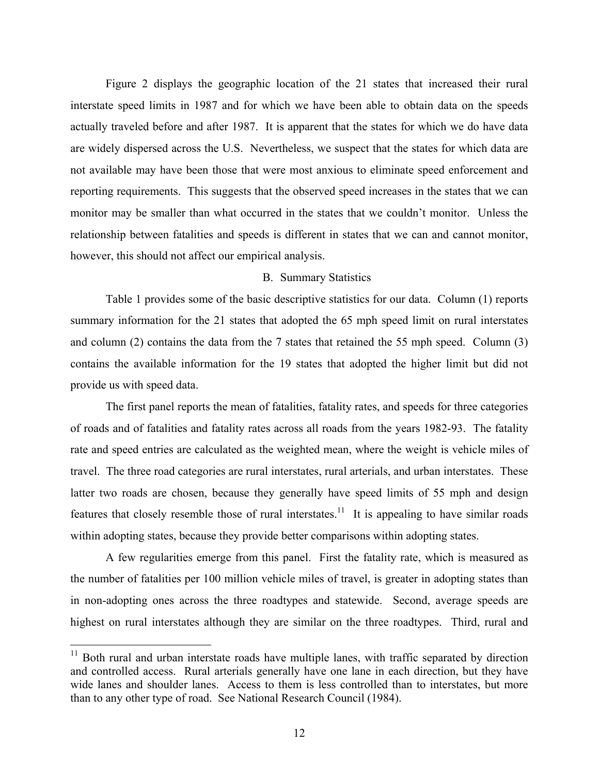Figure 2 displays the geographic location of the 21 states that increased their rural interstate speed limits in 1987 and for which we have been able to obtain data on the speeds actually traveled before and after 1987. It is apparent that the states for which we do have data are widely dispersed across the U.S. Nevertheless, we suspect that the states for which data are not available may have been those that were most anxious to eliminate speed enforcement and reporting requirements. This suggests that the observed speed increases in the states that we can monitor may be smaller than what occurred in the states that we couldn't monitor. Unless the relationship between fatalities and speeds is different in states that we can and cannot monitor, however, this should not affect our empirical analysis.

## B. Summary Statistics

Table 1 provides some of the basic descriptive statistics for our data. Column (1) reports summary information for the 21 states that adopted the 65 mph speed limit on rural interstates and column (2) contains the data from the 7 states that retained the 55 mph speed. Column (3) contains the available information for the 19 states that adopted the higher limit but did not provide us with speed data.

The first panel reports the mean of fatalities, fatality rates, and speeds for three categories of roads and of fatalities and fatality rates across all roads from the years 1982-93. The fatality rate and speed entries are calculated as the weighted mean, where the weight is vehicle miles of travel. The three road categories are rural interstates, rural arterials, and urban interstates. These latter two roads are chosen, because they generally have speed limits of 55 mph and design features that closely resemble those of rural interstates.<sup>11</sup> It is appealing to have similar roads within adopting states, because they provide better comparisons within adopting states.

A few regularities emerge from this panel. First the fatality rate, which is measured as the number of fatalities per 100 million vehicle miles of travel, is greater in adopting states than in non-adopting ones across the three roadtypes and statewide. Second, average speeds are highest on rural interstates although they are similar on the three roadtypes. Third, rural and

<span id="page-13-0"></span><sup>&</sup>lt;sup>11</sup> Both rural and urban interstate roads have multiple lanes, with traffic separated by direction and controlled access. Rural arterials generally have one lane in each direction, but they have wide lanes and shoulder lanes. Access to them is less controlled than to interstates, but more than to any other type of road. See National Research Council (1984).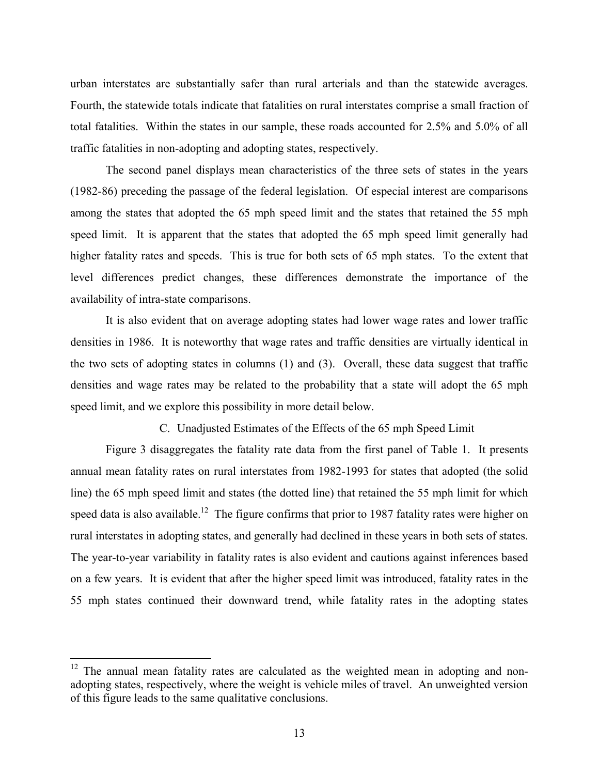urban interstates are substantially safer than rural arterials and than the statewide averages. Fourth, the statewide totals indicate that fatalities on rural interstates comprise a small fraction of total fatalities. Within the states in our sample, these roads accounted for 2.5% and 5.0% of all traffic fatalities in non-adopting and adopting states, respectively.

The second panel displays mean characteristics of the three sets of states in the years (1982-86) preceding the passage of the federal legislation. Of especial interest are comparisons among the states that adopted the 65 mph speed limit and the states that retained the 55 mph speed limit. It is apparent that the states that adopted the 65 mph speed limit generally had higher fatality rates and speeds. This is true for both sets of 65 mph states. To the extent that level differences predict changes, these differences demonstrate the importance of the availability of intra-state comparisons.

It is also evident that on average adopting states had lower wage rates and lower traffic densities in 1986. It is noteworthy that wage rates and traffic densities are virtually identical in the two sets of adopting states in columns (1) and (3). Overall, these data suggest that traffic densities and wage rates may be related to the probability that a state will adopt the 65 mph speed limit, and we explore this possibility in more detail below.

C. Unadjusted Estimates of the Effects of the 65 mph Speed Limit

Figure 3 disaggregates the fatality rate data from the first panel of Table 1. It presents annual mean fatality rates on rural interstates from 1982-1993 for states that adopted (the solid line) the 65 mph speed limit and states (the dotted line) that retained the 55 mph limit for which speed data is also available.<sup>12</sup> The figure confirms that prior to 1987 fatality rates were higher on rural interstates in adopting states, and generally had declined in these years in both sets of states. The year-to-year variability in fatality rates is also evident and cautions against inferences based on a few years. It is evident that after the higher speed limit was introduced, fatality rates in the 55 mph states continued their downward trend, while fatality rates in the adopting states

<span id="page-14-0"></span> $12$  The annual mean fatality rates are calculated as the weighted mean in adopting and nonadopting states, respectively, where the weight is vehicle miles of travel. An unweighted version of this figure leads to the same qualitative conclusions.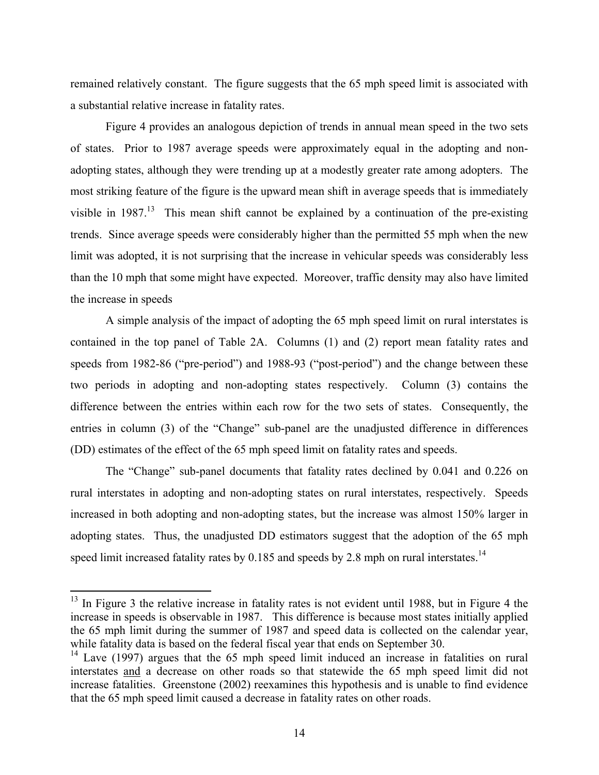remained relatively constant. The figure suggests that the 65 mph speed limit is associated with a substantial relative increase in fatality rates.

Figure 4 provides an analogous depiction of trends in annual mean speed in the two sets of states. Prior to 1987 average speeds were approximately equal in the adopting and nonadopting states, although they were trending up at a modestly greater rate among adopters. The most striking feature of the figure is the upward mean shift in average speeds that is immediately visible in  $1987$ .<sup>13</sup> This mean shift cannot be explained by a continuation of the pre-existing trends. Since average speeds were considerably higher than the permitted 55 mph when the new limit was adopted, it is not surprising that the increase in vehicular speeds was considerably less than the 10 mph that some might have expected. Moreover, traffic density may also have limited the increase in speeds

A simple analysis of the impact of adopting the 65 mph speed limit on rural interstates is contained in the top panel of Table 2A. Columns (1) and (2) report mean fatality rates and speeds from 1982-86 ("pre-period") and 1988-93 ("post-period") and the change between these two periods in adopting and non-adopting states respectively. Column (3) contains the difference between the entries within each row for the two sets of states. Consequently, the entries in column (3) of the "Change" sub-panel are the unadjusted difference in differences (DD) estimates of the effect of the 65 mph speed limit on fatality rates and speeds.

The "Change" sub-panel documents that fatality rates declined by 0.041 and 0.226 on rural interstates in adopting and non-adopting states on rural interstates, respectively. Speeds increased in both adopting and non-adopting states, but the increase was almost 150% larger in adopting states. Thus, the unadjusted DD estimators suggest that the adoption of the 65 mph speed limit increased fatality rates by  $0.185$  and speeds by 2.8 mph on rural interstates.<sup>14</sup>

<span id="page-15-0"></span> $13$  In Figure 3 the relative increase in fatality rates is not evident until 1988, but in Figure 4 the increase in speeds is observable in 1987. This difference is because most states initially applied the 65 mph limit during the summer of 1987 and speed data is collected on the calendar year, while fatality data is based on the federal fiscal year that ends on September 30.

<span id="page-15-1"></span><sup>&</sup>lt;sup>14</sup> Lave (1997) argues that the 65 mph speed limit induced an increase in fatalities on rural interstates and a decrease on other roads so that statewide the 65 mph speed limit did not increase fatalities. Greenstone (2002) reexamines this hypothesis and is unable to find evidence that the 65 mph speed limit caused a decrease in fatality rates on other roads.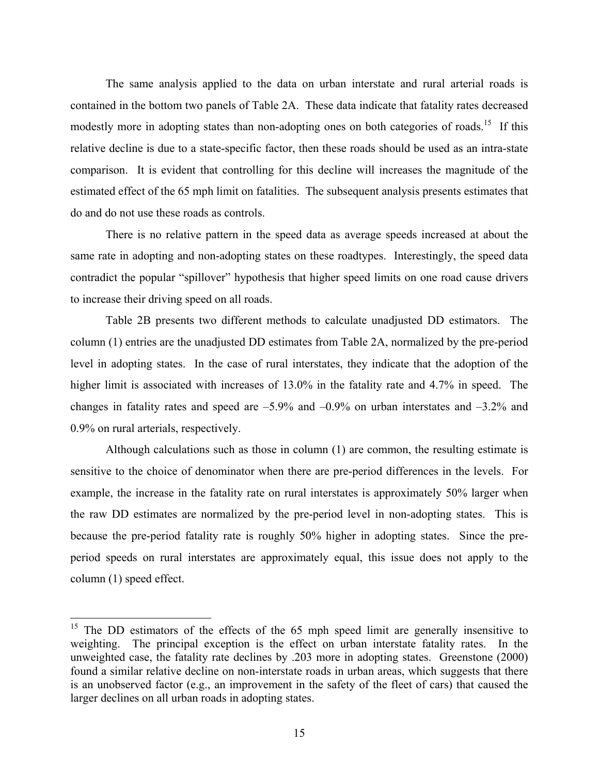The same analysis applied to the data on urban interstate and rural arterial roads is contained in the bottom two panels of Table 2A. These data indicate that fatality rates decreased modestly more in adopting states than non-adopting ones on both categories of roads.<sup>15</sup> If this relative decline is due to a state-specific factor, then these roads should be used as an intra-state comparison. It is evident that controlling for this decline will increases the magnitude of the estimated effect of the 65 mph limit on fatalities. The subsequent analysis presents estimates that do and do not use these roads as controls.

There is no relative pattern in the speed data as average speeds increased at about the same rate in adopting and non-adopting states on these roadtypes. Interestingly, the speed data contradict the popular "spillover" hypothesis that higher speed limits on one road cause drivers to increase their driving speed on all roads.

Table 2B presents two different methods to calculate unadjusted DD estimators. The column (1) entries are the unadjusted DD estimates from Table 2A, normalized by the pre-period level in adopting states. In the case of rural interstates, they indicate that the adoption of the higher limit is associated with increases of 13.0% in the fatality rate and 4.7% in speed. The changes in fatality rates and speed are  $-5.9\%$  and  $-0.9\%$  on urban interstates and  $-3.2\%$  and 0.9% on rural arterials, respectively.

Although calculations such as those in column (1) are common, the resulting estimate is sensitive to the choice of denominator when there are pre-period differences in the levels. For example, the increase in the fatality rate on rural interstates is approximately 50% larger when the raw DD estimates are normalized by the pre-period level in non-adopting states. This is because the pre-period fatality rate is roughly 50% higher in adopting states. Since the preperiod speeds on rural interstates are approximately equal, this issue does not apply to the column (1) speed effect.

<u>.</u>

<span id="page-16-0"></span><sup>&</sup>lt;sup>15</sup> The DD estimators of the effects of the  $65$  mph speed limit are generally insensitive to weighting. The principal exception is the effect on urban interstate fatality rates. In the unweighted case, the fatality rate declines by .203 more in adopting states. Greenstone (2000) found a similar relative decline on non-interstate roads in urban areas, which suggests that there is an unobserved factor (e.g., an improvement in the safety of the fleet of cars) that caused the larger declines on all urban roads in adopting states.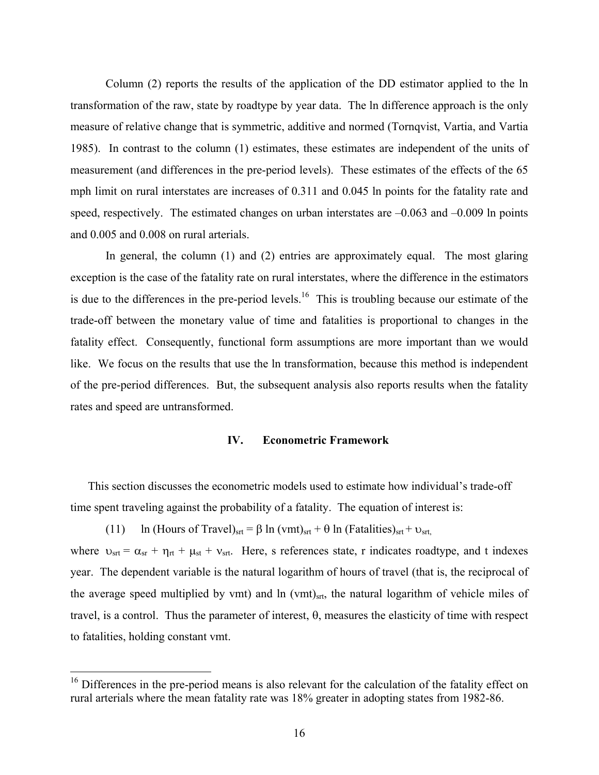Column (2) reports the results of the application of the DD estimator applied to the ln transformation of the raw, state by roadtype by year data. The ln difference approach is the only measure of relative change that is symmetric, additive and normed (Tornqvist, Vartia, and Vartia 1985). In contrast to the column (1) estimates, these estimates are independent of the units of measurement (and differences in the pre-period levels). These estimates of the effects of the 65 mph limit on rural interstates are increases of 0.311 and 0.045 ln points for the fatality rate and speed, respectively. The estimated changes on urban interstates are  $-0.063$  and  $-0.009$  ln points and 0.005 and 0.008 on rural arterials.

In general, the column (1) and (2) entries are approximately equal. The most glaring exception is the case of the fatality rate on rural interstates, where the difference in the estimators is due to the differences in the pre-period levels.<sup>16</sup> This is troubling because our estimate of the trade-off between the monetary value of time and fatalities is proportional to changes in the fatality effect. Consequently, functional form assumptions are more important than we would like. We focus on the results that use the ln transformation, because this method is independent of the pre-period differences. But, the subsequent analysis also reports results when the fatality rates and speed are untransformed.

#### **IV. Econometric Framework**

This section discusses the econometric models used to estimate how individual's trade-off time spent traveling against the probability of a fatality. The equation of interest is:

(11) ln (Hours of Travel)<sub>srt</sub> = β ln (vmt)<sub>srt</sub> + θ ln (Fatalities)<sub>srt</sub> +  $v_{\text{str}}$ where  $v_{\text{str}} = \alpha_{\text{sr}} + \eta_{\text{rt}} + \mu_{\text{st}} + v_{\text{str}}$ . Here, s references state, r indicates roadtype, and t indexes year. The dependent variable is the natural logarithm of hours of travel (that is, the reciprocal of the average speed multiplied by vmt) and ln (vmt)<sub>srt</sub>, the natural logarithm of vehicle miles of travel, is a control. Thus the parameter of interest, θ, measures the elasticity of time with respect to fatalities, holding constant vmt.

<span id="page-17-0"></span><sup>&</sup>lt;sup>16</sup> Differences in the pre-period means is also relevant for the calculation of the fatality effect on rural arterials where the mean fatality rate was 18% greater in adopting states from 1982-86.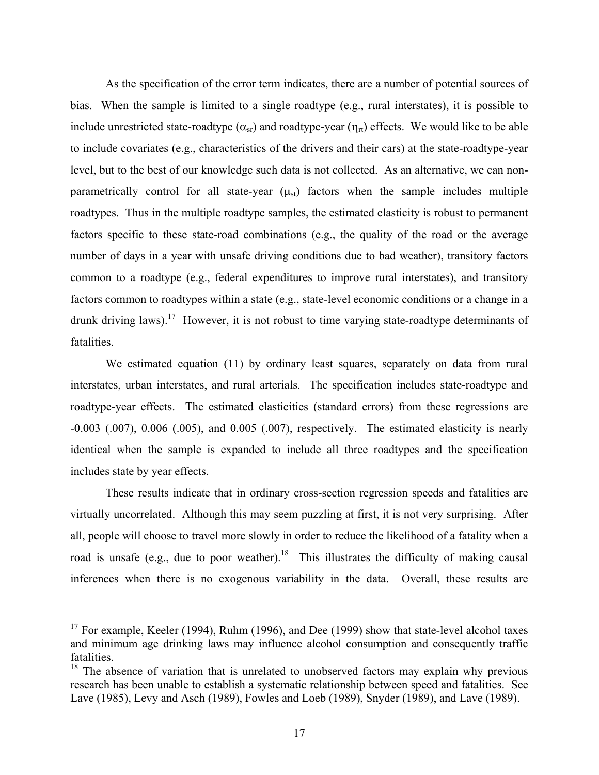As the specification of the error term indicates, there are a number of potential sources of bias. When the sample is limited to a single roadtype (e.g., rural interstates), it is possible to include unrestricted state-roadtype  $(\alpha_{sr})$  and roadtype-year  $(\eta_{rt})$  effects. We would like to be able to include covariates (e.g., characteristics of the drivers and their cars) at the state-roadtype-year level, but to the best of our knowledge such data is not collected. As an alternative, we can nonparametrically control for all state-year  $(\mu_{st})$  factors when the sample includes multiple roadtypes. Thus in the multiple roadtype samples, the estimated elasticity is robust to permanent factors specific to these state-road combinations (e.g., the quality of the road or the average number of days in a year with unsafe driving conditions due to bad weather), transitory factors common to a roadtype (e.g., federal expenditures to improve rural interstates), and transitory factors common to roadtypes within a state (e.g., state-level economic conditions or a change in a drunk driving laws).[17](#page-18-0) However, it is not robust to time varying state-roadtype determinants of fatalities.

We estimated equation (11) by ordinary least squares, separately on data from rural interstates, urban interstates, and rural arterials. The specification includes state-roadtype and roadtype-year effects. The estimated elasticities (standard errors) from these regressions are -0.003 (.007), 0.006 (.005), and 0.005 (.007), respectively. The estimated elasticity is nearly identical when the sample is expanded to include all three roadtypes and the specification includes state by year effects.

These results indicate that in ordinary cross-section regression speeds and fatalities are virtually uncorrelated. Although this may seem puzzling at first, it is not very surprising. After all, people will choose to travel more slowly in order to reduce the likelihood of a fatality when a road is unsafe (e.g., due to poor weather).<sup>18</sup> This illustrates the difficulty of making causal inferences when there is no exogenous variability in the data. Overall, these results are

<span id="page-18-0"></span><sup>&</sup>lt;sup>17</sup> For example, Keeler (1994), Ruhm (1996), and Dee (1999) show that state-level alcohol taxes and minimum age drinking laws may influence alcohol consumption and consequently traffic fatalities.

<span id="page-18-1"></span><sup>&</sup>lt;sup>18</sup> The absence of variation that is unrelated to unobserved factors may explain why previous research has been unable to establish a systematic relationship between speed and fatalities. See Lave (1985), Levy and Asch (1989), Fowles and Loeb (1989), Snyder (1989), and Lave (1989).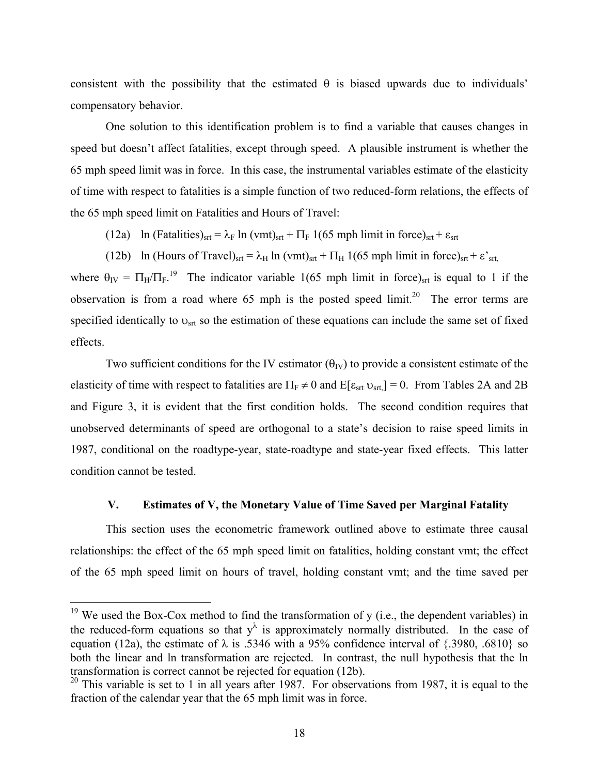consistent with the possibility that the estimated  $\theta$  is biased upwards due to individuals' compensatory behavior.

One solution to this identification problem is to find a variable that causes changes in speed but doesn't affect fatalities, except through speed. A plausible instrument is whether the 65 mph speed limit was in force. In this case, the instrumental variables estimate of the elasticity of time with respect to fatalities is a simple function of two reduced-form relations, the effects of the 65 mph speed limit on Fatalities and Hours of Travel:

(12a) ln (Fatalities)<sub>srt</sub> =  $\lambda_F$  ln (vmt)<sub>srt</sub> +  $\Pi_F$  1(65 mph limit in force)<sub>srt</sub> +  $\varepsilon_{\rm srt}$ 

(12b) ln (Hours of Travel)<sub>srt</sub> =  $\lambda_H$  ln (vmt)<sub>srt</sub> +  $\Pi_H$  1(65 mph limit in force)<sub>srt</sub> +  $\varepsilon$ <sup>'</sup><sub>srt,</sub>

where  $\theta_{\text{IV}} = \Pi_{\text{H}}/\Pi_{\text{F}}$ .<sup>19</sup> The indicator variable 1(65 mph limit in force)<sub>st</sub> is equal to 1 if the observation is from a road where  $65$  mph is the posted speed limit.<sup>20</sup> The error terms are specified identically to  $v_{\text{str}}$  so the estimation of these equations can include the same set of fixed effects.

Two sufficient conditions for the IV estimator ( $\theta_{IV}$ ) to provide a consistent estimate of the elasticity of time with respect to fatalities are  $\Pi_F \neq 0$  and  $E[\epsilon_{\text{srt}} v_{\text{srt}}] = 0$ . From Tables 2A and 2B and Figure 3, it is evident that the first condition holds. The second condition requires that unobserved determinants of speed are orthogonal to a state's decision to raise speed limits in 1987, conditional on the roadtype-year, state-roadtype and state-year fixed effects. This latter condition cannot be tested.

### **V. Estimates of V, the Monetary Value of Time Saved per Marginal Fatality**

This section uses the econometric framework outlined above to estimate three causal relationships: the effect of the 65 mph speed limit on fatalities, holding constant vmt; the effect of the 65 mph speed limit on hours of travel, holding constant vmt; and the time saved per

<span id="page-19-0"></span> $19$  We used the Box-Cox method to find the transformation of y (i.e., the dependent variables) in the reduced-form equations so that  $y^{\lambda}$  is approximately normally distributed. In the case of equation (12a), the estimate of  $\lambda$  is .5346 with a 95% confidence interval of {.3980, .6810} so both the linear and ln transformation are rejected. In contrast, the null hypothesis that the ln transformation is correct cannot be rejected for equation (12b).

<span id="page-19-1"></span> $20$  This variable is set to 1 in all years after 1987. For observations from 1987, it is equal to the fraction of the calendar year that the 65 mph limit was in force.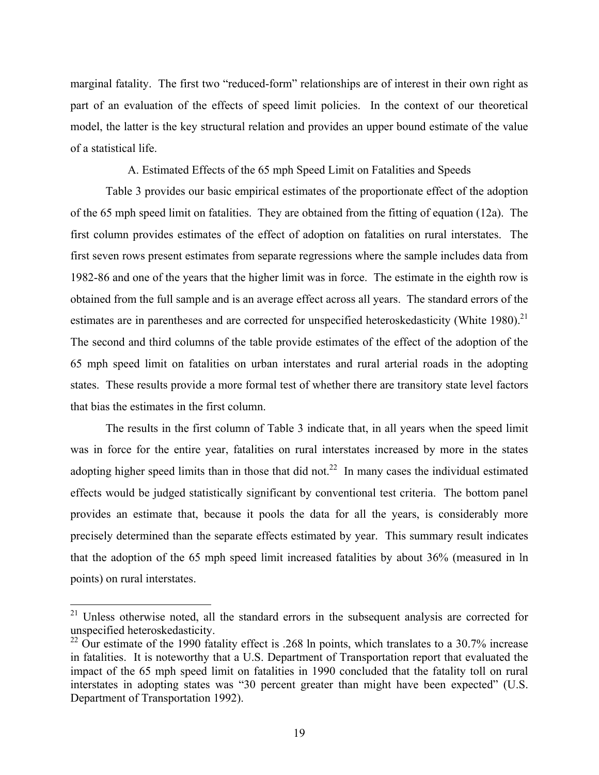marginal fatality. The first two "reduced-form" relationships are of interest in their own right as part of an evaluation of the effects of speed limit policies. In the context of our theoretical model, the latter is the key structural relation and provides an upper bound estimate of the value of a statistical life.

A. Estimated Effects of the 65 mph Speed Limit on Fatalities and Speeds

Table 3 provides our basic empirical estimates of the proportionate effect of the adoption of the 65 mph speed limit on fatalities. They are obtained from the fitting of equation (12a). The first column provides estimates of the effect of adoption on fatalities on rural interstates. The first seven rows present estimates from separate regressions where the sample includes data from 1982-86 and one of the years that the higher limit was in force. The estimate in the eighth row is obtained from the full sample and is an average effect across all years. The standard errors of the estimates are in parentheses and are corrected for unspecified heteroskedasticity (White 1980).<sup>21</sup> The second and third columns of the table provide estimates of the effect of the adoption of the 65 mph speed limit on fatalities on urban interstates and rural arterial roads in the adopting states. These results provide a more formal test of whether there are transitory state level factors that bias the estimates in the first column.

The results in the first column of Table 3 indicate that, in all years when the speed limit was in force for the entire year, fatalities on rural interstates increased by more in the states adopting higher speed limits than in those that did not.<sup>22</sup> In many cases the individual estimated effects would be judged statistically significant by conventional test criteria. The bottom panel provides an estimate that, because it pools the data for all the years, is considerably more precisely determined than the separate effects estimated by year. This summary result indicates that the adoption of the 65 mph speed limit increased fatalities by about 36% (measured in ln points) on rural interstates.

1

<span id="page-20-0"></span> $21$  Unless otherwise noted, all the standard errors in the subsequent analysis are corrected for unspecified heteroskedasticity.

<span id="page-20-1"></span><sup>&</sup>lt;sup>22</sup> Our estimate of the 1990 fatality effect is .268 ln points, which translates to a 30.7% increase in fatalities. It is noteworthy that a U.S. Department of Transportation report that evaluated the impact of the 65 mph speed limit on fatalities in 1990 concluded that the fatality toll on rural interstates in adopting states was "30 percent greater than might have been expected" (U.S. Department of Transportation 1992).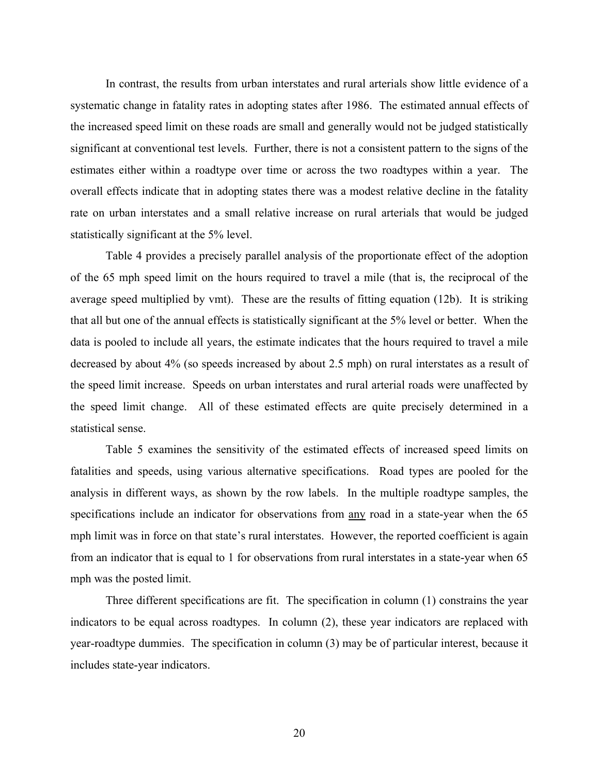In contrast, the results from urban interstates and rural arterials show little evidence of a systematic change in fatality rates in adopting states after 1986. The estimated annual effects of the increased speed limit on these roads are small and generally would not be judged statistically significant at conventional test levels. Further, there is not a consistent pattern to the signs of the estimates either within a roadtype over time or across the two roadtypes within a year. The overall effects indicate that in adopting states there was a modest relative decline in the fatality rate on urban interstates and a small relative increase on rural arterials that would be judged statistically significant at the 5% level.

Table 4 provides a precisely parallel analysis of the proportionate effect of the adoption of the 65 mph speed limit on the hours required to travel a mile (that is, the reciprocal of the average speed multiplied by vmt). These are the results of fitting equation (12b). It is striking that all but one of the annual effects is statistically significant at the 5% level or better. When the data is pooled to include all years, the estimate indicates that the hours required to travel a mile decreased by about 4% (so speeds increased by about 2.5 mph) on rural interstates as a result of the speed limit increase. Speeds on urban interstates and rural arterial roads were unaffected by the speed limit change. All of these estimated effects are quite precisely determined in a statistical sense.

Table 5 examines the sensitivity of the estimated effects of increased speed limits on fatalities and speeds, using various alternative specifications. Road types are pooled for the analysis in different ways, as shown by the row labels. In the multiple roadtype samples, the specifications include an indicator for observations from any road in a state-year when the 65 mph limit was in force on that state's rural interstates. However, the reported coefficient is again from an indicator that is equal to 1 for observations from rural interstates in a state-year when 65 mph was the posted limit.

Three different specifications are fit. The specification in column (1) constrains the year indicators to be equal across roadtypes. In column (2), these year indicators are replaced with year-roadtype dummies. The specification in column (3) may be of particular interest, because it includes state-year indicators.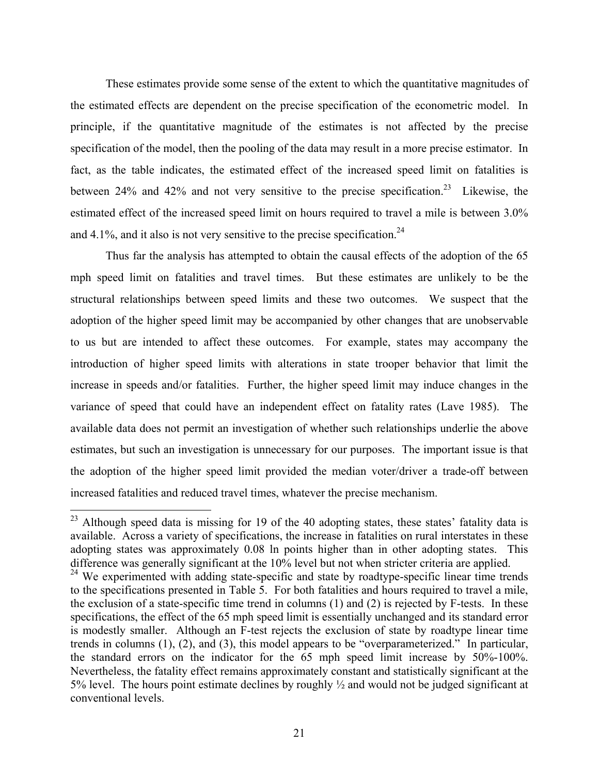These estimates provide some sense of the extent to which the quantitative magnitudes of the estimated effects are dependent on the precise specification of the econometric model. In principle, if the quantitative magnitude of the estimates is not affected by the precise specification of the model, then the pooling of the data may result in a more precise estimator. In fact, as the table indicates, the estimated effect of the increased speed limit on fatalities is between 24% and 42% and not very sensitive to the precise specification.<sup>23</sup> Likewise, the estimated effect of the increased speed limit on hours required to travel a mile is between 3.0% and  $4.1\%$ , and it also is not very sensitive to the precise specification.<sup>24</sup>

Thus far the analysis has attempted to obtain the causal effects of the adoption of the 65 mph speed limit on fatalities and travel times. But these estimates are unlikely to be the structural relationships between speed limits and these two outcomes. We suspect that the adoption of the higher speed limit may be accompanied by other changes that are unobservable to us but are intended to affect these outcomes. For example, states may accompany the introduction of higher speed limits with alterations in state trooper behavior that limit the increase in speeds and/or fatalities. Further, the higher speed limit may induce changes in the variance of speed that could have an independent effect on fatality rates (Lave 1985). The available data does not permit an investigation of whether such relationships underlie the above estimates, but such an investigation is unnecessary for our purposes. The important issue is that the adoption of the higher speed limit provided the median voter/driver a trade-off between increased fatalities and reduced travel times, whatever the precise mechanism.

<span id="page-22-0"></span> $^{23}$  Although speed data is missing for 19 of the 40 adopting states, these states' fatality data is available. Across a variety of specifications, the increase in fatalities on rural interstates in these adopting states was approximately 0.08 ln points higher than in other adopting states. This difference was generally significant at the 10% level but not when stricter criteria are applied.

<span id="page-22-1"></span><sup>&</sup>lt;sup>24</sup> We experimented with adding state-specific and state by roadtype-specific linear time trends to the specifications presented in Table 5. For both fatalities and hours required to travel a mile, the exclusion of a state-specific time trend in columns (1) and (2) is rejected by F-tests. In these specifications, the effect of the 65 mph speed limit is essentially unchanged and its standard error is modestly smaller. Although an F-test rejects the exclusion of state by roadtype linear time trends in columns (1), (2), and (3), this model appears to be "overparameterized." In particular, the standard errors on the indicator for the 65 mph speed limit increase by 50%-100%. Nevertheless, the fatality effect remains approximately constant and statistically significant at the 5% level. The hours point estimate declines by roughly ½ and would not be judged significant at conventional levels.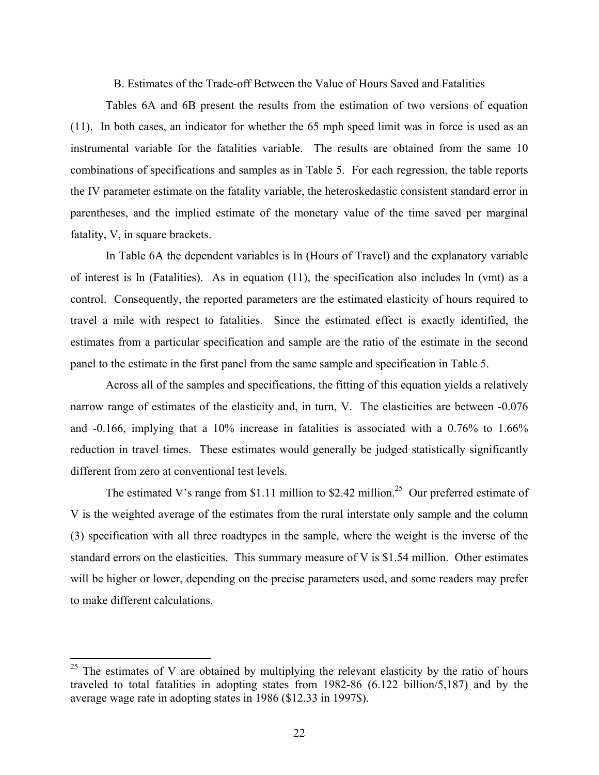B. Estimates of the Trade-off Between the Value of Hours Saved and Fatalities

Tables 6A and 6B present the results from the estimation of two versions of equation (11). In both cases, an indicator for whether the 65 mph speed limit was in force is used as an instrumental variable for the fatalities variable. The results are obtained from the same 10 combinations of specifications and samples as in Table 5. For each regression, the table reports the IV parameter estimate on the fatality variable, the heteroskedastic consistent standard error in parentheses, and the implied estimate of the monetary value of the time saved per marginal fatality, V, in square brackets.

In Table 6A the dependent variables is ln (Hours of Travel) and the explanatory variable of interest is ln (Fatalities). As in equation (11), the specification also includes ln (vmt) as a control. Consequently, the reported parameters are the estimated elasticity of hours required to travel a mile with respect to fatalities. Since the estimated effect is exactly identified, the estimates from a particular specification and sample are the ratio of the estimate in the second panel to the estimate in the first panel from the same sample and specification in Table 5.

Across all of the samples and specifications, the fitting of this equation yields a relatively narrow range of estimates of the elasticity and, in turn, V. The elasticities are between  $-0.076$ and -0.166, implying that a 10% increase in fatalities is associated with a 0.76% to 1.66% reduction in travel times. These estimates would generally be judged statistically significantly different from zero at conventional test levels.

The estimated V's range from \$1.11 million to \$2.42 million.<sup>25</sup> Our preferred estimate of V is the weighted average of the estimates from the rural interstate only sample and the column (3) specification with all three roadtypes in the sample, where the weight is the inverse of the standard errors on the elasticities. This summary measure of V is \$1.54 million. Other estimates will be higher or lower, depending on the precise parameters used, and some readers may prefer to make different calculations.

1

<span id="page-23-0"></span>The estimates of V are obtained by multiplying the relevant elasticity by the ratio of hours traveled to total fatalities in adopting states from 1982-86 (6.122 billion/5,187) and by the average wage rate in adopting states in 1986 (\$12.33 in 1997\$).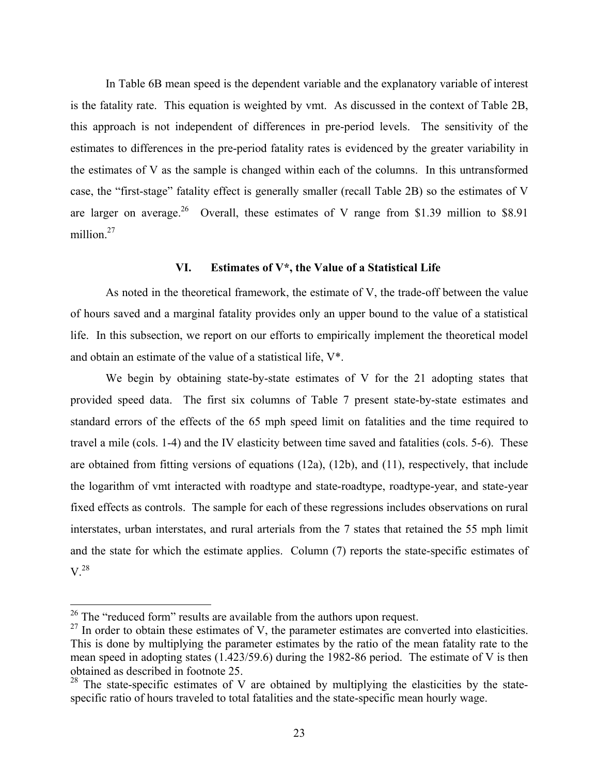In Table 6B mean speed is the dependent variable and the explanatory variable of interest is the fatality rate. This equation is weighted by vmt. As discussed in the context of Table 2B, this approach is not independent of differences in pre-period levels. The sensitivity of the estimates to differences in the pre-period fatality rates is evidenced by the greater variability in the estimates of V as the sample is changed within each of the columns. In this untransformed case, the "first-stage" fatality effect is generally smaller (recall Table 2B) so the estimates of V are larger on average.<sup>26</sup> Overall, these estimates of V range from \$1.39 million to \$8.91 million.<sup>27</sup>

#### **VI. Estimates of V\*, the Value of a Statistical Life**

As noted in the theoretical framework, the estimate of V, the trade-off between the value of hours saved and a marginal fatality provides only an upper bound to the value of a statistical life. In this subsection, we report on our efforts to empirically implement the theoretical model and obtain an estimate of the value of a statistical life, V\*.

We begin by obtaining state-by-state estimates of V for the 21 adopting states that provided speed data. The first six columns of Table 7 present state-by-state estimates and standard errors of the effects of the 65 mph speed limit on fatalities and the time required to travel a mile (cols. 1-4) and the IV elasticity between time saved and fatalities (cols. 5-6). These are obtained from fitting versions of equations (12a), (12b), and (11), respectively, that include the logarithm of vmt interacted with roadtype and state-roadtype, roadtype-year, and state-year fixed effects as controls. The sample for each of these regressions includes observations on rural interstates, urban interstates, and rural arterials from the 7 states that retained the 55 mph limit and the state for which the estimate applies. Column (7) reports the state-specific estimates of  $V^{28}$ 

<span id="page-24-0"></span> $26$  The "reduced form" results are available from the authors upon request.

<span id="page-24-1"></span> $^{27}$  In order to obtain these estimates of V, the parameter estimates are converted into elasticities. This is done by multiplying the parameter estimates by the ratio of the mean fatality rate to the mean speed in adopting states (1.423/59.6) during the 1982-86 period. The estimate of V is then obtained as described in footnote 25.

<span id="page-24-2"></span><sup>&</sup>lt;sup>28</sup> The state-specific estimates of V are obtained by multiplying the elasticities by the statespecific ratio of hours traveled to total fatalities and the state-specific mean hourly wage.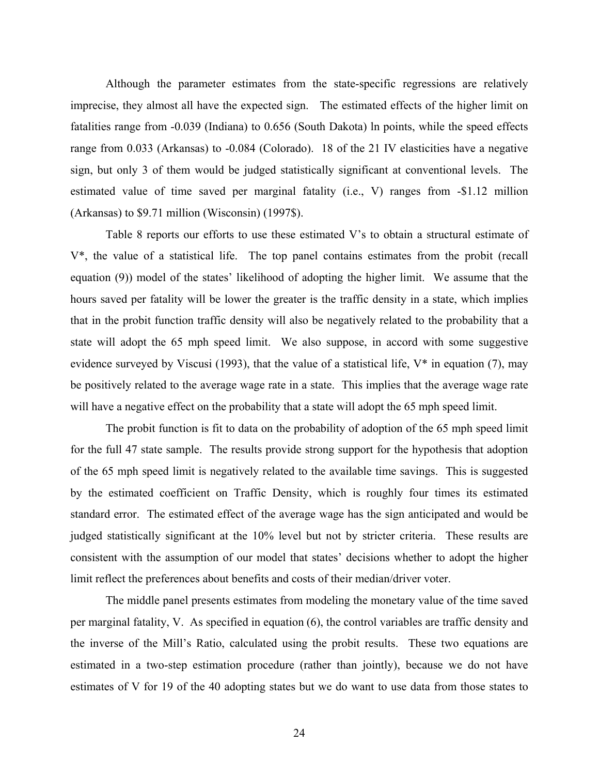Although the parameter estimates from the state-specific regressions are relatively imprecise, they almost all have the expected sign. The estimated effects of the higher limit on fatalities range from -0.039 (Indiana) to 0.656 (South Dakota) ln points, while the speed effects range from 0.033 (Arkansas) to -0.084 (Colorado). 18 of the 21 IV elasticities have a negative sign, but only 3 of them would be judged statistically significant at conventional levels. The estimated value of time saved per marginal fatality (i.e., V) ranges from -\$1.12 million (Arkansas) to \$9.71 million (Wisconsin) (1997\$).

Table 8 reports our efforts to use these estimated V's to obtain a structural estimate of V\*, the value of a statistical life. The top panel contains estimates from the probit (recall equation (9)) model of the states' likelihood of adopting the higher limit. We assume that the hours saved per fatality will be lower the greater is the traffic density in a state, which implies that in the probit function traffic density will also be negatively related to the probability that a state will adopt the 65 mph speed limit. We also suppose, in accord with some suggestive evidence surveyed by Viscusi (1993), that the value of a statistical life,  $V^*$  in equation (7), may be positively related to the average wage rate in a state. This implies that the average wage rate will have a negative effect on the probability that a state will adopt the 65 mph speed limit.

The probit function is fit to data on the probability of adoption of the 65 mph speed limit for the full 47 state sample. The results provide strong support for the hypothesis that adoption of the 65 mph speed limit is negatively related to the available time savings. This is suggested by the estimated coefficient on Traffic Density, which is roughly four times its estimated standard error. The estimated effect of the average wage has the sign anticipated and would be judged statistically significant at the 10% level but not by stricter criteria. These results are consistent with the assumption of our model that states' decisions whether to adopt the higher limit reflect the preferences about benefits and costs of their median/driver voter.

The middle panel presents estimates from modeling the monetary value of the time saved per marginal fatality, V. As specified in equation (6), the control variables are traffic density and the inverse of the Mill's Ratio, calculated using the probit results. These two equations are estimated in a two-step estimation procedure (rather than jointly), because we do not have estimates of V for 19 of the 40 adopting states but we do want to use data from those states to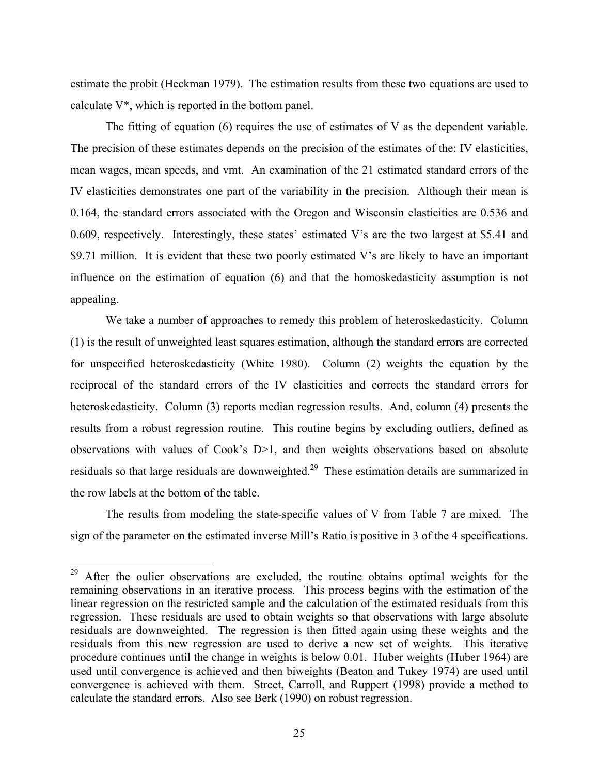estimate the probit (Heckman 1979). The estimation results from these two equations are used to calculate V\*, which is reported in the bottom panel.

The fitting of equation  $(6)$  requires the use of estimates of V as the dependent variable. The precision of these estimates depends on the precision of the estimates of the: IV elasticities, mean wages, mean speeds, and vmt. An examination of the 21 estimated standard errors of the IV elasticities demonstrates one part of the variability in the precision. Although their mean is 0.164, the standard errors associated with the Oregon and Wisconsin elasticities are 0.536 and 0.609, respectively. Interestingly, these states' estimated V's are the two largest at \$5.41 and \$9.71 million. It is evident that these two poorly estimated V's are likely to have an important influence on the estimation of equation (6) and that the homoskedasticity assumption is not appealing.

We take a number of approaches to remedy this problem of heteroskedasticity. Column (1) is the result of unweighted least squares estimation, although the standard errors are corrected for unspecified heteroskedasticity (White 1980). Column (2) weights the equation by the reciprocal of the standard errors of the IV elasticities and corrects the standard errors for heteroskedasticity. Column (3) reports median regression results. And, column (4) presents the results from a robust regression routine. This routine begins by excluding outliers, defined as observations with values of Cook's D>1, and then weights observations based on absolute residuals so that large residuals are downweighted.<sup>29</sup> These estimation details are summarized in the row labels at the bottom of the table.

The results from modeling the state-specific values of V from Table 7 are mixed. The sign of the parameter on the estimated inverse Mill's Ratio is positive in 3 of the 4 specifications.

<span id="page-26-0"></span> $29\,$ After the oulier observations are excluded, the routine obtains optimal weights for the remaining observations in an iterative process. This process begins with the estimation of the linear regression on the restricted sample and the calculation of the estimated residuals from this regression. These residuals are used to obtain weights so that observations with large absolute residuals are downweighted. The regression is then fitted again using these weights and the residuals from this new regression are used to derive a new set of weights. This iterative procedure continues until the change in weights is below 0.01. Huber weights (Huber 1964) are used until convergence is achieved and then biweights (Beaton and Tukey 1974) are used until convergence is achieved with them. Street, Carroll, and Ruppert (1998) provide a method to calculate the standard errors. Also see Berk (1990) on robust regression.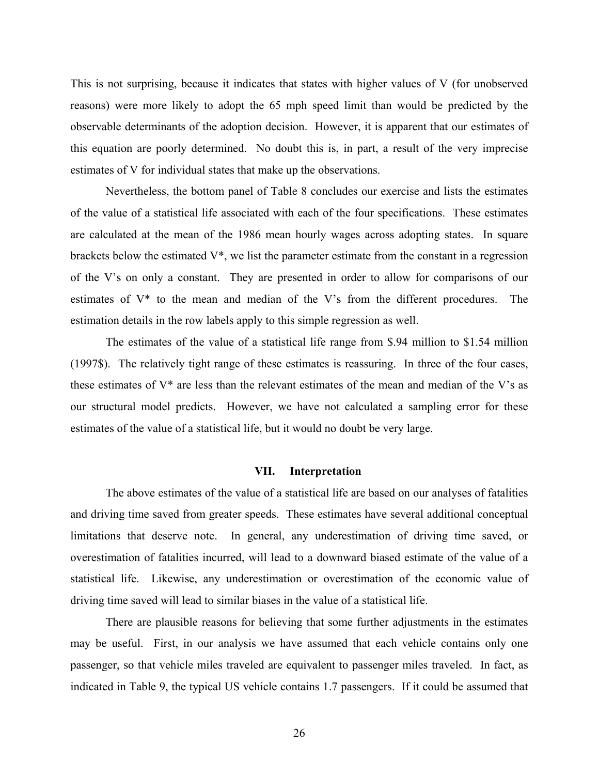This is not surprising, because it indicates that states with higher values of V (for unobserved reasons) were more likely to adopt the 65 mph speed limit than would be predicted by the observable determinants of the adoption decision. However, it is apparent that our estimates of this equation are poorly determined. No doubt this is, in part, a result of the very imprecise estimates of V for individual states that make up the observations.

Nevertheless, the bottom panel of Table 8 concludes our exercise and lists the estimates of the value of a statistical life associated with each of the four specifications. These estimates are calculated at the mean of the 1986 mean hourly wages across adopting states. In square brackets below the estimated V\*, we list the parameter estimate from the constant in a regression of the V's on only a constant. They are presented in order to allow for comparisons of our estimates of V\* to the mean and median of the V's from the different procedures. The estimation details in the row labels apply to this simple regression as well.

The estimates of the value of a statistical life range from \$.94 million to \$1.54 million (1997\$). The relatively tight range of these estimates is reassuring. In three of the four cases, these estimates of V\* are less than the relevant estimates of the mean and median of the V's as our structural model predicts. However, we have not calculated a sampling error for these estimates of the value of a statistical life, but it would no doubt be very large.

#### **VII. Interpretation**

The above estimates of the value of a statistical life are based on our analyses of fatalities and driving time saved from greater speeds. These estimates have several additional conceptual limitations that deserve note. In general, any underestimation of driving time saved, or overestimation of fatalities incurred, will lead to a downward biased estimate of the value of a statistical life. Likewise, any underestimation or overestimation of the economic value of driving time saved will lead to similar biases in the value of a statistical life.

There are plausible reasons for believing that some further adjustments in the estimates may be useful. First, in our analysis we have assumed that each vehicle contains only one passenger, so that vehicle miles traveled are equivalent to passenger miles traveled. In fact, as indicated in Table 9, the typical US vehicle contains 1.7 passengers. If it could be assumed that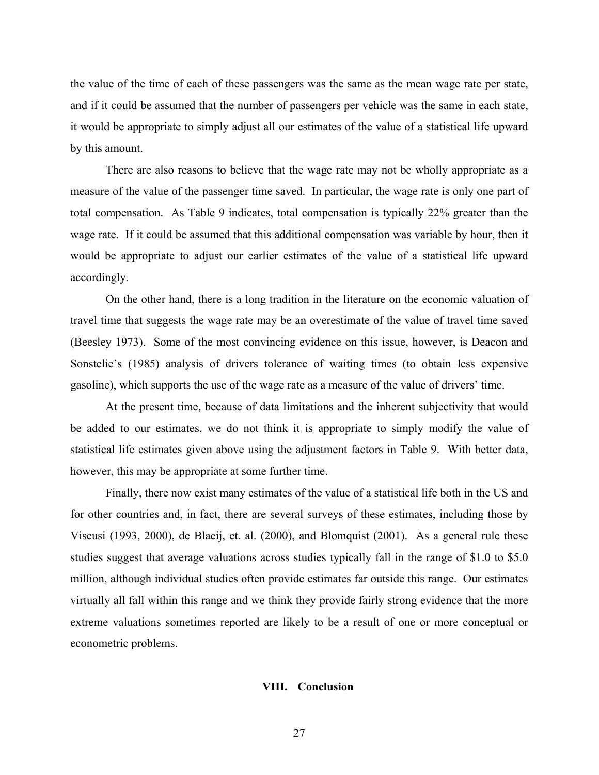the value of the time of each of these passengers was the same as the mean wage rate per state, and if it could be assumed that the number of passengers per vehicle was the same in each state, it would be appropriate to simply adjust all our estimates of the value of a statistical life upward by this amount.

There are also reasons to believe that the wage rate may not be wholly appropriate as a measure of the value of the passenger time saved. In particular, the wage rate is only one part of total compensation. As Table 9 indicates, total compensation is typically 22% greater than the wage rate. If it could be assumed that this additional compensation was variable by hour, then it would be appropriate to adjust our earlier estimates of the value of a statistical life upward accordingly.

On the other hand, there is a long tradition in the literature on the economic valuation of travel time that suggests the wage rate may be an overestimate of the value of travel time saved (Beesley 1973). Some of the most convincing evidence on this issue, however, is Deacon and Sonstelie's (1985) analysis of drivers tolerance of waiting times (to obtain less expensive gasoline), which supports the use of the wage rate as a measure of the value of drivers' time.

At the present time, because of data limitations and the inherent subjectivity that would be added to our estimates, we do not think it is appropriate to simply modify the value of statistical life estimates given above using the adjustment factors in Table 9. With better data, however, this may be appropriate at some further time.

Finally, there now exist many estimates of the value of a statistical life both in the US and for other countries and, in fact, there are several surveys of these estimates, including those by Viscusi (1993, 2000), de Blaeij, et. al. (2000), and Blomquist (2001). As a general rule these studies suggest that average valuations across studies typically fall in the range of \$1.0 to \$5.0 million, although individual studies often provide estimates far outside this range. Our estimates virtually all fall within this range and we think they provide fairly strong evidence that the more extreme valuations sometimes reported are likely to be a result of one or more conceptual or econometric problems.

#### **VIII. Conclusion**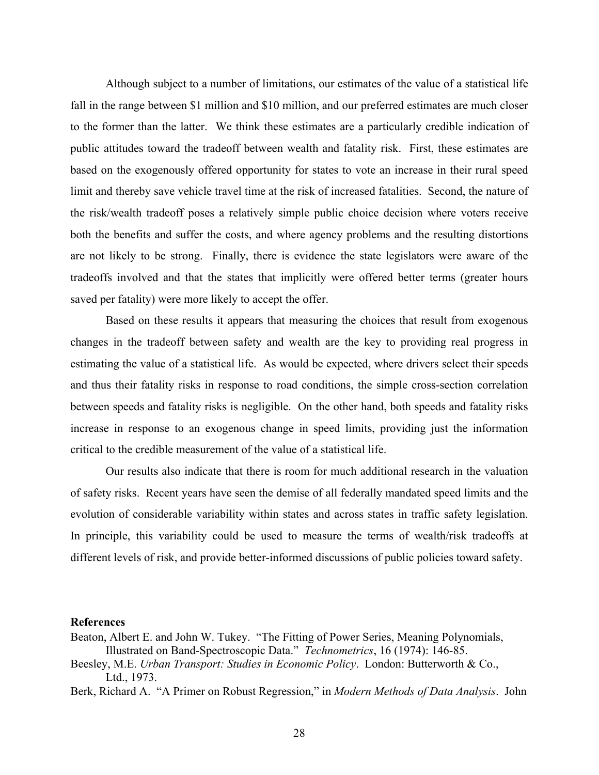Although subject to a number of limitations, our estimates of the value of a statistical life fall in the range between \$1 million and \$10 million, and our preferred estimates are much closer to the former than the latter. We think these estimates are a particularly credible indication of public attitudes toward the tradeoff between wealth and fatality risk. First, these estimates are based on the exogenously offered opportunity for states to vote an increase in their rural speed limit and thereby save vehicle travel time at the risk of increased fatalities. Second, the nature of the risk/wealth tradeoff poses a relatively simple public choice decision where voters receive both the benefits and suffer the costs, and where agency problems and the resulting distortions are not likely to be strong. Finally, there is evidence the state legislators were aware of the tradeoffs involved and that the states that implicitly were offered better terms (greater hours saved per fatality) were more likely to accept the offer.

Based on these results it appears that measuring the choices that result from exogenous changes in the tradeoff between safety and wealth are the key to providing real progress in estimating the value of a statistical life. As would be expected, where drivers select their speeds and thus their fatality risks in response to road conditions, the simple cross-section correlation between speeds and fatality risks is negligible. On the other hand, both speeds and fatality risks increase in response to an exogenous change in speed limits, providing just the information critical to the credible measurement of the value of a statistical life.

Our results also indicate that there is room for much additional research in the valuation of safety risks. Recent years have seen the demise of all federally mandated speed limits and the evolution of considerable variability within states and across states in traffic safety legislation. In principle, this variability could be used to measure the terms of wealth/risk tradeoffs at different levels of risk, and provide better-informed discussions of public policies toward safety.

#### **References**

- Beaton, Albert E. and John W. Tukey. "The Fitting of Power Series, Meaning Polynomials, Illustrated on Band-Spectroscopic Data." *Technometrics*, 16 (1974): 146-85.
- Beesley, M.E. *Urban Transport: Studies in Economic Policy*. London: Butterworth & Co., Ltd., 1973.

Berk, Richard A. "A Primer on Robust Regression," in *Modern Methods of Data Analysis*. John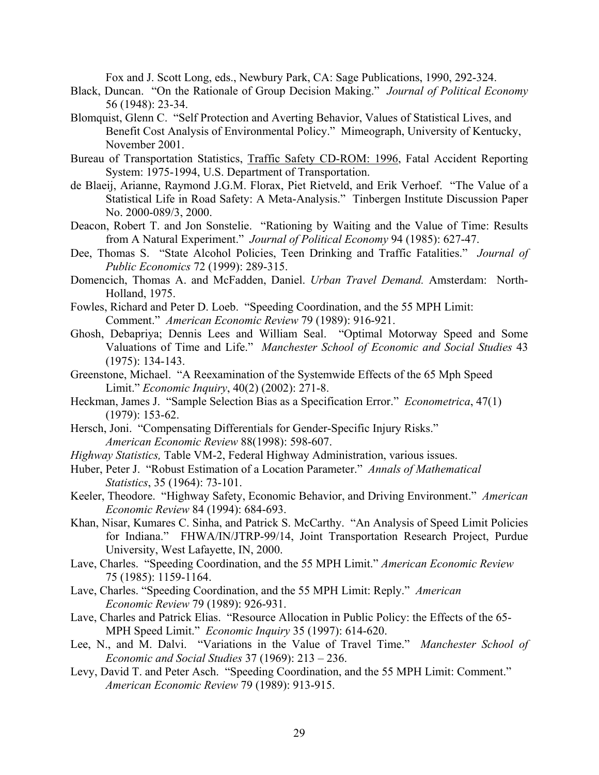Fox and J. Scott Long, eds., Newbury Park, CA: Sage Publications, 1990, 292-324.

- Black, Duncan. "On the Rationale of Group Decision Making." *Journal of Political Economy* 56 (1948): 23-34.
- Blomquist, Glenn C. "Self Protection and Averting Behavior, Values of Statistical Lives, and Benefit Cost Analysis of Environmental Policy." Mimeograph, University of Kentucky, November 2001.
- Bureau of Transportation Statistics, Traffic Safety CD-ROM: 1996, Fatal Accident Reporting System: 1975-1994, U.S. Department of Transportation.
- de Blaeij, Arianne, Raymond J.G.M. Florax, Piet Rietveld, and Erik Verhoef. "The Value of a Statistical Life in Road Safety: A Meta-Analysis." Tinbergen Institute Discussion Paper No. 2000-089/3, 2000.
- Deacon, Robert T. and Jon Sonstelie. "Rationing by Waiting and the Value of Time: Results from A Natural Experiment." *Journal of Political Economy* 94 (1985): 627-47.
- Dee, Thomas S. "State Alcohol Policies, Teen Drinking and Traffic Fatalities." *Journal of Public Economics* 72 (1999): 289-315.
- Domencich, Thomas A. and McFadden, Daniel. *Urban Travel Demand.* Amsterdam: North-Holland, 1975.
- Fowles, Richard and Peter D. Loeb. "Speeding Coordination, and the 55 MPH Limit: Comment." *American Economic Review* 79 (1989): 916-921.
- Ghosh, Debapriya; Dennis Lees and William Seal. "Optimal Motorway Speed and Some Valuations of Time and Life." *Manchester School of Economic and Social Studies* 43 (1975): 134-143.
- Greenstone, Michael. "A Reexamination of the Systemwide Effects of the 65 Mph Speed Limit." *Economic Inquiry*, 40(2) (2002): 271-8.
- Heckman, James J. "Sample Selection Bias as a Specification Error." *Econometrica*, 47(1) (1979): 153-62.
- Hersch, Joni. "Compensating Differentials for Gender-Specific Injury Risks." *American Economic Review* 88(1998): 598-607.
- *Highway Statistics,* Table VM-2, Federal Highway Administration, various issues.
- Huber, Peter J. "Robust Estimation of a Location Parameter." *Annals of Mathematical Statistics*, 35 (1964): 73-101.
- Keeler, Theodore. "Highway Safety, Economic Behavior, and Driving Environment." *American Economic Review* 84 (1994): 684-693.
- Khan, Nisar, Kumares C. Sinha, and Patrick S. McCarthy. "An Analysis of Speed Limit Policies for Indiana." FHWA/IN/JTRP-99/14, Joint Transportation Research Project, Purdue University, West Lafayette, IN, 2000.
- Lave, Charles. "Speeding Coordination, and the 55 MPH Limit." *American Economic Review* 75 (1985): 1159-1164.
- Lave, Charles. "Speeding Coordination, and the 55 MPH Limit: Reply." *American Economic Review* 79 (1989): 926-931.
- Lave, Charles and Patrick Elias. "Resource Allocation in Public Policy: the Effects of the 65- MPH Speed Limit." *Economic Inquiry* 35 (1997): 614-620.
- Lee, N., and M. Dalvi. "Variations in the Value of Travel Time." *Manchester School of Economic and Social Studies* 37 (1969): 213 – 236.
- Levy, David T. and Peter Asch. "Speeding Coordination, and the 55 MPH Limit: Comment." *American Economic Review* 79 (1989): 913-915.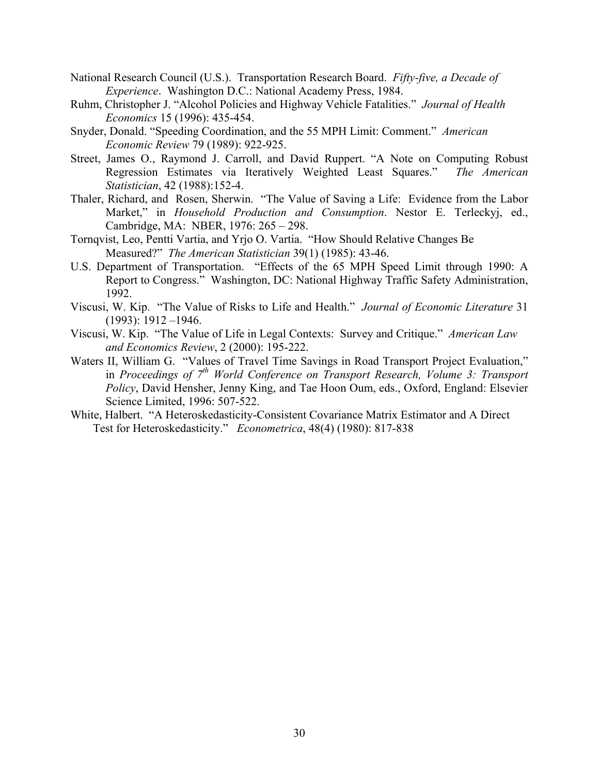- National Research Council (U.S.). Transportation Research Board. *Fifty-five, a Decade of Experience*. Washington D.C.: National Academy Press, 1984.
- Ruhm, Christopher J. "Alcohol Policies and Highway Vehicle Fatalities." *Journal of Health Economics* 15 (1996): 435-454.
- Snyder, Donald. "Speeding Coordination, and the 55 MPH Limit: Comment." *American Economic Review* 79 (1989): 922-925.
- Street, James O., Raymond J. Carroll, and David Ruppert. "A Note on Computing Robust Regression Estimates via Iteratively Weighted Least Squares." *The American Statistician*, 42 (1988):152-4.
- Thaler, Richard, and Rosen, Sherwin. "The Value of Saving a Life: Evidence from the Labor Market," in *Household Production and Consumption*. Nestor E. Terleckyj, ed., Cambridge, MA: NBER, 1976: 265 – 298.
- Tornqvist, Leo, Pentti Vartia, and Yrjo O. Vartia. "How Should Relative Changes Be Measured?" *The American Statistician* 39(1) (1985): 43-46.
- U.S. Department of Transportation. "Effects of the 65 MPH Speed Limit through 1990: A Report to Congress." Washington, DC: National Highway Traffic Safety Administration, 1992.
- Viscusi, W. Kip. "The Value of Risks to Life and Health." *Journal of Economic Literature* 31 (1993): 1912 –1946.
- Viscusi, W. Kip. "The Value of Life in Legal Contexts: Survey and Critique." *American Law and Economics Review*, 2 (2000): 195-222.
- Waters II, William G. "Values of Travel Time Savings in Road Transport Project Evaluation," in *Proceedings of* 7<sup>th</sup> World Conference on Transport Research, Volume 3: Transport *Policy*, David Hensher, Jenny King, and Tae Hoon Oum, eds., Oxford, England: Elsevier Science Limited, 1996: 507-522.
- White, Halbert. "A Heteroskedasticity-Consistent Covariance Matrix Estimator and A Direct Test for Heteroskedasticity." *Econometrica*, 48(4) (1980): 817-838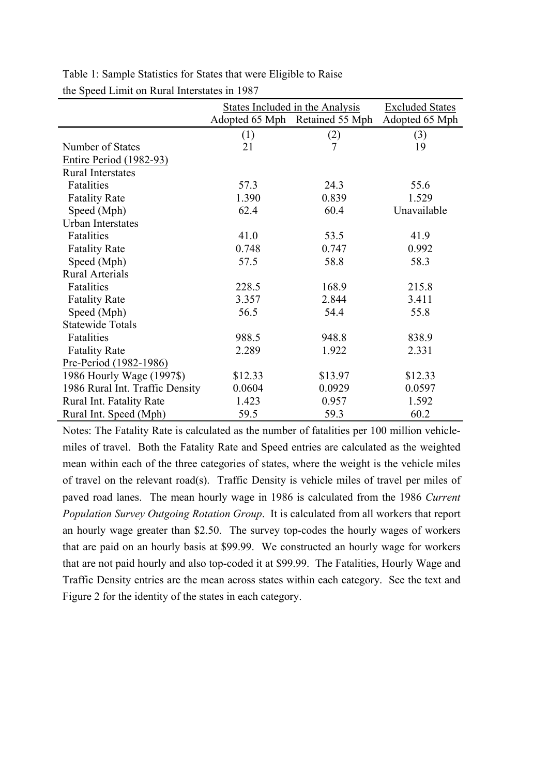|                                 | <b>States Included in the Analysis</b> | <b>Excluded States</b>         |                |
|---------------------------------|----------------------------------------|--------------------------------|----------------|
|                                 |                                        | Adopted 65 Mph Retained 55 Mph | Adopted 65 Mph |
|                                 | (1)                                    | (2)                            | (3)            |
| Number of States                | 21                                     | 7                              | 19             |
| <b>Entire Period (1982-93)</b>  |                                        |                                |                |
| <b>Rural Interstates</b>        |                                        |                                |                |
| Fatalities                      | 57.3                                   | 24.3                           | 55.6           |
| <b>Fatality Rate</b>            | 1.390                                  | 0.839                          | 1.529          |
| Speed (Mph)                     | 62.4                                   | 60.4                           | Unavailable    |
| Urban Interstates               |                                        |                                |                |
| Fatalities                      | 41.0                                   | 53.5                           | 41.9           |
| <b>Fatality Rate</b>            | 0.748                                  | 0.747                          | 0.992          |
| Speed (Mph)                     | 57.5                                   | 58.8                           | 58.3           |
| <b>Rural Arterials</b>          |                                        |                                |                |
| Fatalities                      | 228.5                                  | 168.9                          | 215.8          |
| <b>Fatality Rate</b>            | 3.357                                  | 2.844                          | 3.411          |
| Speed (Mph)                     | 56.5                                   | 54.4                           | 55.8           |
| <b>Statewide Totals</b>         |                                        |                                |                |
| Fatalities                      | 988.5                                  | 948.8                          | 838.9          |
| <b>Fatality Rate</b>            | 2.289                                  | 1.922                          | 2.331          |
| Pre-Period (1982-1986)          |                                        |                                |                |
| 1986 Hourly Wage (1997\$)       | \$12.33                                | \$13.97                        | \$12.33        |
| 1986 Rural Int. Traffic Density | 0.0604                                 | 0.0929                         | 0.0597         |
| Rural Int. Fatality Rate        | 1.423                                  | 0.957                          | 1.592          |
| Rural Int. Speed (Mph)          | 59.5                                   | 59.3                           | 60.2           |

Table 1: Sample Statistics for States that were Eligible to Raise the Speed Limit on Rural Interstates in 1987

Notes: The Fatality Rate is calculated as the number of fatalities per 100 million vehiclemiles of travel. Both the Fatality Rate and Speed entries are calculated as the weighted mean within each of the three categories of states, where the weight is the vehicle miles of travel on the relevant road(s). Traffic Density is vehicle miles of travel per miles of paved road lanes. The mean hourly wage in 1986 is calculated from the 1986 *Current Population Survey Outgoing Rotation Group*. It is calculated from all workers that report an hourly wage greater than \$2.50. The survey top-codes the hourly wages of workers that are paid on an hourly basis at \$99.99. We constructed an hourly wage for workers that are not paid hourly and also top-coded it at \$99.99. The Fatalities, Hourly Wage and Traffic Density entries are the mean across states within each category. See the text and Figure 2 for the identity of the states in each category.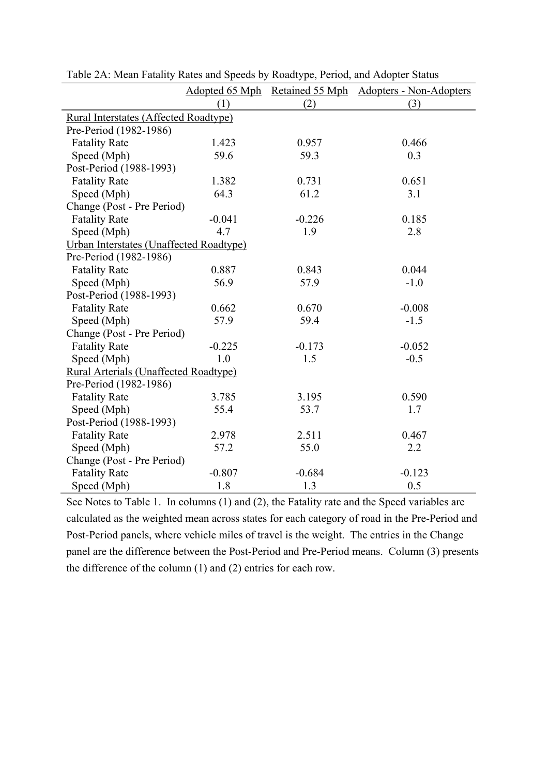|                                              |          |          | Adopted 65 Mph Retained 55 Mph Adopters - Non-Adopters |  |  |  |  |  |
|----------------------------------------------|----------|----------|--------------------------------------------------------|--|--|--|--|--|
|                                              | (1)      | (2)      | (3)                                                    |  |  |  |  |  |
| <b>Rural Interstates (Affected Roadtype)</b> |          |          |                                                        |  |  |  |  |  |
| Pre-Period (1982-1986)                       |          |          |                                                        |  |  |  |  |  |
| <b>Fatality Rate</b>                         | 1.423    | 0.957    | 0.466                                                  |  |  |  |  |  |
| Speed (Mph)                                  | 59.6     | 59.3     | 0.3                                                    |  |  |  |  |  |
| Post-Period (1988-1993)                      |          |          |                                                        |  |  |  |  |  |
| <b>Fatality Rate</b>                         | 1.382    | 0.731    | 0.651                                                  |  |  |  |  |  |
| Speed (Mph)                                  | 64.3     | 61.2     | 3.1                                                    |  |  |  |  |  |
| Change (Post - Pre Period)                   |          |          |                                                        |  |  |  |  |  |
| <b>Fatality Rate</b>                         | $-0.041$ | $-0.226$ | 0.185                                                  |  |  |  |  |  |
| Speed (Mph)                                  | 4.7      | 1.9      | 2.8                                                    |  |  |  |  |  |
| Urban Interstates (Unaffected Roadtype)      |          |          |                                                        |  |  |  |  |  |
| Pre-Period (1982-1986)                       |          |          |                                                        |  |  |  |  |  |
| <b>Fatality Rate</b>                         | 0.887    | 0.843    | 0.044                                                  |  |  |  |  |  |
| Speed (Mph)                                  | 56.9     | 57.9     | $-1.0$                                                 |  |  |  |  |  |
| Post-Period (1988-1993)                      |          |          |                                                        |  |  |  |  |  |
| <b>Fatality Rate</b>                         | 0.662    | 0.670    | $-0.008$                                               |  |  |  |  |  |
| Speed (Mph)                                  | 57.9     | 59.4     | $-1.5$                                                 |  |  |  |  |  |
| Change (Post - Pre Period)                   |          |          |                                                        |  |  |  |  |  |
| <b>Fatality Rate</b>                         | $-0.225$ | $-0.173$ | $-0.052$                                               |  |  |  |  |  |
| Speed (Mph)                                  | 1.0      | 1.5      | $-0.5$                                                 |  |  |  |  |  |
| <b>Rural Arterials (Unaffected Roadtype)</b> |          |          |                                                        |  |  |  |  |  |
| Pre-Period (1982-1986)                       |          |          |                                                        |  |  |  |  |  |
| <b>Fatality Rate</b>                         | 3.785    | 3.195    | 0.590                                                  |  |  |  |  |  |
| Speed (Mph)                                  | 55.4     | 53.7     | 1.7                                                    |  |  |  |  |  |
| Post-Period (1988-1993)                      |          |          |                                                        |  |  |  |  |  |
| <b>Fatality Rate</b>                         | 2.978    | 2.511    | 0.467                                                  |  |  |  |  |  |
| Speed (Mph)                                  | 57.2     | 55.0     | 2.2                                                    |  |  |  |  |  |
| Change (Post - Pre Period)                   |          |          |                                                        |  |  |  |  |  |
| <b>Fatality Rate</b>                         | $-0.807$ | $-0.684$ | $-0.123$                                               |  |  |  |  |  |
| Speed (Mph)                                  | 1.8      | 1.3      | 0.5                                                    |  |  |  |  |  |

Table 2A: Mean Fatality Rates and Speeds by Roadtype, Period, and Adopter Status

See Notes to Table 1. In columns (1) and (2), the Fatality rate and the Speed variables are calculated as the weighted mean across states for each category of road in the Pre-Period and Post-Period panels, where vehicle miles of travel is the weight. The entries in the Change panel are the difference between the Post-Period and Pre-Period means. Column (3) presents the difference of the column (1) and (2) entries for each row.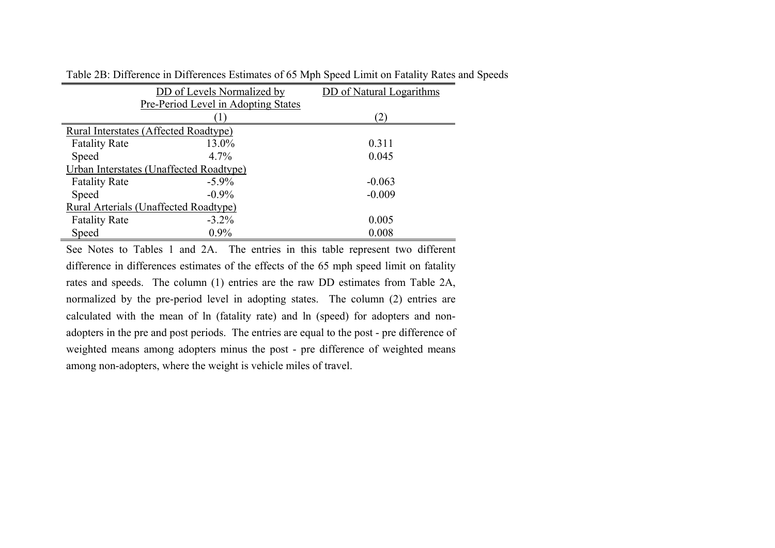|                      | DD of Levels Normalized by                   | DD of Natural Logarithms |
|----------------------|----------------------------------------------|--------------------------|
|                      | Pre-Period Level in Adopting States          |                          |
|                      |                                              | (2)                      |
|                      | Rural Interstates (Affected Roadtype)        |                          |
| <b>Fatality Rate</b> | 13.0%                                        | 0.311                    |
| Speed                | $4.7\%$                                      | 0.045                    |
|                      | Urban Interstates (Unaffected Roadtype)      |                          |
| <b>Fatality Rate</b> | $-5.9\%$                                     | $-0.063$                 |
| Speed                | $-0.9\%$                                     | $-0.009$                 |
|                      | <b>Rural Arterials (Unaffected Roadtype)</b> |                          |
| <b>Fatality Rate</b> | $-3.2\%$                                     | 0.005                    |
| Speed                | $0.9\%$                                      | 0.008                    |

Table 2B: Difference in Differences Estimates of 65 Mph Speed Limit on Fatality Rates and Speeds

See Notes to Tables 1 and 2A. The entries in this table represent two different difference in differences estimates of the effects of the 65 mph speed limit on fatality rates and speeds. The column (1) entries are the raw DD estimates from Table 2A, normalized by the pre-period level in adopting states. The column (2) entries are calculated with the mean of ln (fatality rate) and ln (speed) for adopters and nonadopters in the pre and post periods. The entries are equal to the post - pre difference of weighted means among adopters minus the post - pre difference of weighted means among non-adopters, where the weight is vehicle miles of travel.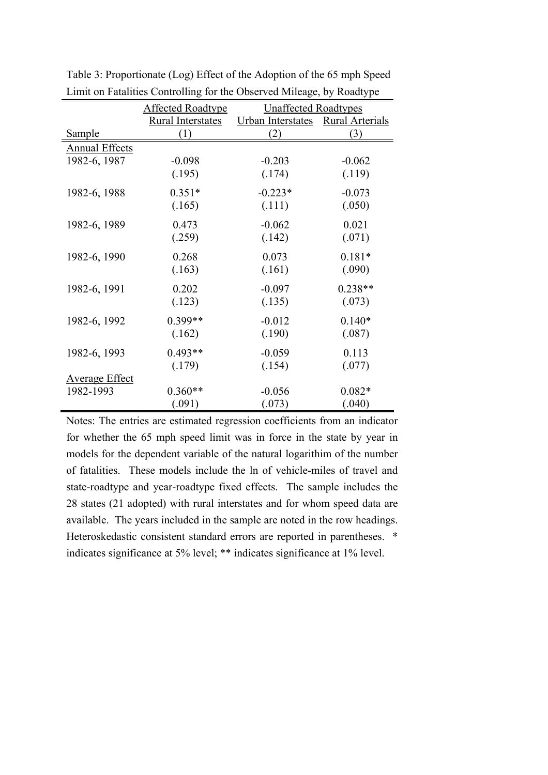|                       | <b>Affected Roadtype</b> | <b>Unaffected Roadtypes</b> |                 |
|-----------------------|--------------------------|-----------------------------|-----------------|
|                       | <b>Rural Interstates</b> | Urban Interstates           | Rural Arterials |
| Sample                | (1)                      | (2)                         | (3)             |
| <b>Annual Effects</b> |                          |                             |                 |
| 1982-6, 1987          | $-0.098$                 | $-0.203$                    | $-0.062$        |
|                       | (.195)                   | (.174)                      | (.119)          |
| 1982-6, 1988          | $0.351*$                 | $-0.223*$                   | $-0.073$        |
|                       | (.165)                   | (.111)                      | (.050)          |
| 1982-6, 1989          | 0.473                    | $-0.062$                    | 0.021           |
|                       | (.259)                   | (.142)                      | (.071)          |
| 1982-6, 1990          | 0.268                    | 0.073                       | $0.181*$        |
|                       | (.163)                   | (.161)                      | (.090)          |
| 1982-6, 1991          | 0.202                    | $-0.097$                    | $0.238**$       |
|                       | (.123)                   | (.135)                      | (.073)          |
| 1982-6, 1992          | 0.399**                  | $-0.012$                    | $0.140*$        |
|                       | (.162)                   | (.190)                      | (.087)          |
| 1982-6, 1993          | $0.493**$                | $-0.059$                    | 0.113           |
|                       | (.179)                   | (.154)                      | (.077)          |
| <b>Average Effect</b> |                          |                             |                 |
| 1982-1993             | $0.360**$                | $-0.056$                    | $0.082*$        |
|                       | (.091)                   | (.073)                      | (.040)          |

Table 3: Proportionate (Log) Effect of the Adoption of the 65 mph Speed Limit on Fatalities Controlling for the Observed Mileage, by Roadtype

Notes: The entries are estimated regression coefficients from an indicator for whether the 65 mph speed limit was in force in the state by year in models for the dependent variable of the natural logarithim of the number of fatalities. These models include the ln of vehicle-miles of travel and state-roadtype and year-roadtype fixed effects. The sample includes the 28 states (21 adopted) with rural interstates and for whom speed data are available. The years included in the sample are noted in the row headings. Heteroskedastic consistent standard errors are reported in parentheses. \* indicates significance at 5% level; \*\* indicates significance at 1% level.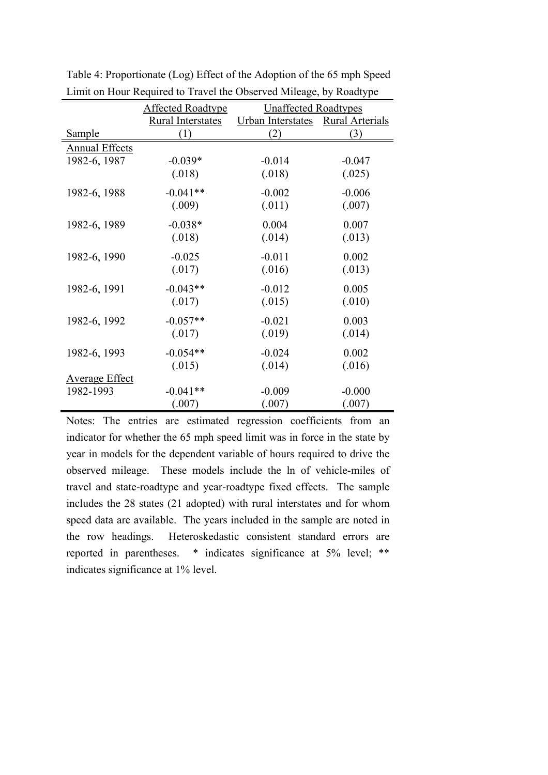|                       |                          |                             | ╯┸              |
|-----------------------|--------------------------|-----------------------------|-----------------|
|                       | <b>Affected Roadtype</b> | <b>Unaffected Roadtypes</b> |                 |
|                       | Rural Interstates        | Urban Interstates           | Rural Arterials |
| Sample                | (1)                      | (2)                         | (3)             |
| <b>Annual Effects</b> |                          |                             |                 |
| 1982-6, 1987          | $-0.039*$                | $-0.014$                    | $-0.047$        |
|                       | (.018)                   | (.018)                      | (.025)          |
| 1982-6, 1988          | $-0.041**$               | $-0.002$                    | $-0.006$        |
|                       | (.009)                   | (.011)                      | (.007)          |
| 1982-6, 1989          | $-0.038*$                | 0.004                       | 0.007           |
|                       | (.018)                   | (.014)                      | (.013)          |
| 1982-6, 1990          | $-0.025$                 | $-0.011$                    | 0.002           |
|                       | (.017)                   | (.016)                      | (.013)          |
| 1982-6, 1991          | $-0.043**$               | $-0.012$                    | 0.005           |
|                       | (.017)                   | (.015)                      | (.010)          |
| 1982-6, 1992          | $-0.057**$               | $-0.021$                    | 0.003           |
|                       | (.017)                   | (.019)                      | (.014)          |
| 1982-6, 1993          | $-0.054**$               | $-0.024$                    | 0.002           |
|                       | (.015)                   | (.014)                      | (.016)          |
| <b>Average Effect</b> |                          |                             |                 |
| 1982-1993             | $-0.041**$               | $-0.009$                    | $-0.000$        |
|                       | (.007)                   | (.007)                      | (.007)          |

Table 4: Proportionate (Log) Effect of the Adoption of the 65 mph Speed Limit on Hour Required to Travel the Observed Mileage, by Roadtype

Notes: The entries are estimated regression coefficients from an indicator for whether the 65 mph speed limit was in force in the state by year in models for the dependent variable of hours required to drive the observed mileage. These models include the ln of vehicle-miles of travel and state-roadtype and year-roadtype fixed effects. The sample includes the 28 states (21 adopted) with rural interstates and for whom speed data are available. The years included in the sample are noted in the row headings. Heteroskedastic consistent standard errors are reported in parentheses. \* indicates significance at 5% level; \*\* indicates significance at 1% level.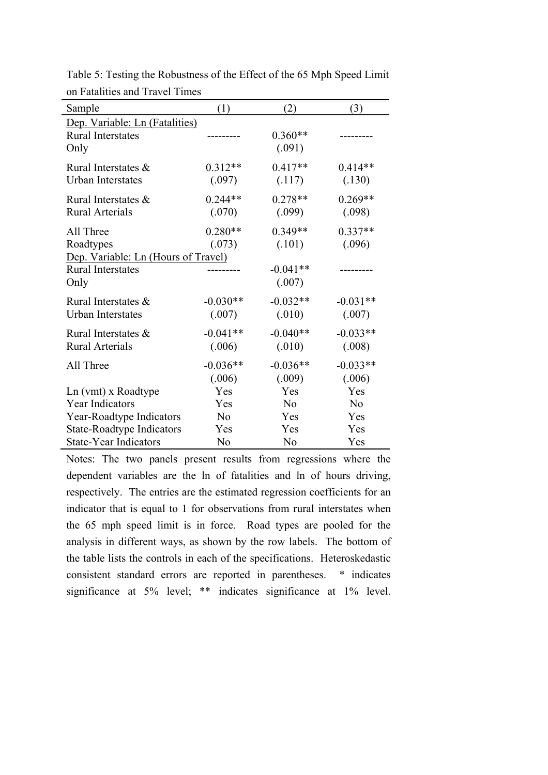| Sample                              | (1)            | (2)            | (3)            |
|-------------------------------------|----------------|----------------|----------------|
| Dep. Variable: Ln (Fatalities)      |                |                |                |
| <b>Rural Interstates</b>            |                | $0.360**$      |                |
| Only                                |                | (.091)         |                |
| Rural Interstates &                 | $0.312**$      | $0.417**$      | $0.414**$      |
| Urban Interstates                   | (.097)         | (.117)         | (.130)         |
| Rural Interstates &                 | $0.244**$      | $0.278**$      | $0.269**$      |
| <b>Rural Arterials</b>              | (.070)         | (.099)         | (.098)         |
| All Three                           | $0.280**$      | $0.349**$      | $0.337**$      |
| Roadtypes                           | (.073)         | (.101)         | (.096)         |
| Dep. Variable: Ln (Hours of Travel) |                |                |                |
| <b>Rural Interstates</b>            |                | $-0.041**$     |                |
| Only                                |                | (.007)         |                |
| Rural Interstates &                 | $-0.030**$     | $-0.032**$     | $-0.031**$     |
| <b>Urban Interstates</b>            | (.007)         | (.010)         | (.007)         |
| Rural Interstates &                 | $-0.041**$     | $-0.040**$     | $-0.033**$     |
| <b>Rural Arterials</b>              | (.006)         | (.010)         | (.008)         |
| All Three                           | $-0.036**$     | $-0.036**$     | $-0.033**$     |
|                                     | (.006)         | (.009)         | (.006)         |
| Ln (vmt) x Roadtype                 | Yes            | Yes            | Yes            |
| <b>Year Indicators</b>              | Yes            | N <sub>o</sub> | N <sub>o</sub> |
| Year-Roadtype Indicators            | N <sub>0</sub> | Yes            | Yes            |
| <b>State-Roadtype Indicators</b>    | Yes            | Yes            | Yes            |
| <b>State-Year Indicators</b>        | N <sub>0</sub> | N <sub>o</sub> | Yes            |

Table 5: Testing the Robustness of the Effect of the 65 Mph Speed Limit on Fatalities and Travel Times

Notes: The two panels present results from regressions where the dependent variables are the ln of fatalities and ln of hours driving, respectively. The entries are the estimated regression coefficients for an indicator that is equal to 1 for observations from rural interstates when the 65 mph speed limit is in force. Road types are pooled for the analysis in different ways, as shown by the row labels. The bottom of the table lists the controls in each of the specifications. Heteroskedastic consistent standard errors are reported in parentheses. \* indicates significance at 5% level; \*\* indicates significance at 1% level.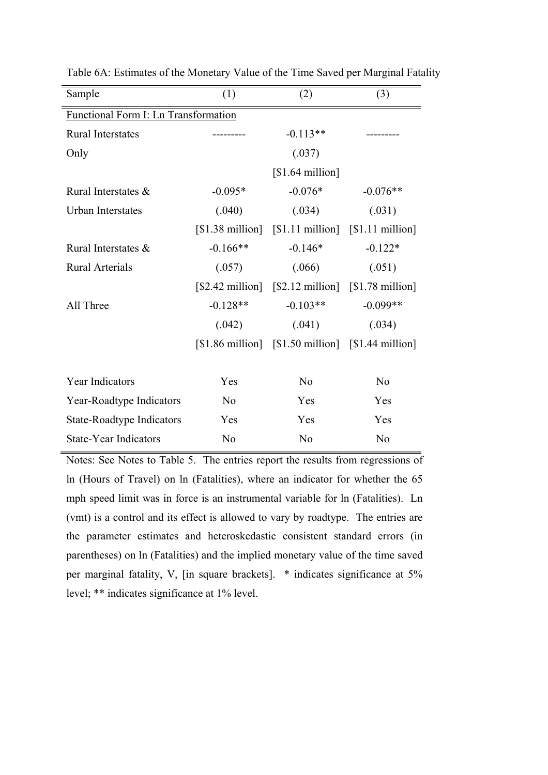| Sample                               | (1)                       | (2)                                                                             | (3)              |  |  |  |  |  |
|--------------------------------------|---------------------------|---------------------------------------------------------------------------------|------------------|--|--|--|--|--|
| Functional Form I: Ln Transformation |                           |                                                                                 |                  |  |  |  |  |  |
| Rural Interstates                    |                           | $-0.113**$                                                                      |                  |  |  |  |  |  |
| Only                                 |                           | (.037)                                                                          |                  |  |  |  |  |  |
|                                      |                           | [\$1.64 million]                                                                |                  |  |  |  |  |  |
| Rural Interstates &                  | $-0.095*$                 | $-0.076*$                                                                       | $-0.076**$       |  |  |  |  |  |
| <b>Urban Interstates</b>             | (.040)                    | (.034)                                                                          | (.031)           |  |  |  |  |  |
|                                      | [\$1.38 million]          | [\$1.11 million]                                                                | [\$1.11 million] |  |  |  |  |  |
| Rural Interstates &                  | $-0.166**$                | $-0.146*$                                                                       | $-0.122*$        |  |  |  |  |  |
| <b>Rural Arterials</b>               | (.057)                    | (.066)                                                                          | (.051)           |  |  |  |  |  |
|                                      | $[$2.42 \text{ million}]$ | $\lceil $2.12 \text{ million} \rceil \quad \lceil $1.78 \text{ million} \rceil$ |                  |  |  |  |  |  |
| All Three                            | $-0.128**$                | $-0.103**$                                                                      | $-0.099**$       |  |  |  |  |  |
|                                      | (.042)                    | (.041)                                                                          | (.034)           |  |  |  |  |  |
|                                      |                           | $[$1.86 \text{ million}]$ $[$1.50 \text{ million}]$ $[$1.44 \text{ million}]$   |                  |  |  |  |  |  |
|                                      |                           |                                                                                 |                  |  |  |  |  |  |
| Year Indicators                      | Yes                       | N <sub>0</sub>                                                                  | N <sub>0</sub>   |  |  |  |  |  |
| Year-Roadtype Indicators             | N <sub>0</sub>            | Yes                                                                             | Yes              |  |  |  |  |  |
| <b>State-Roadtype Indicators</b>     | Yes                       | Yes                                                                             | Yes              |  |  |  |  |  |
| <b>State-Year Indicators</b>         | N <sub>o</sub>            | N <sub>o</sub>                                                                  | N <sub>0</sub>   |  |  |  |  |  |

Table 6A: Estimates of the Monetary Value of the Time Saved per Marginal Fatality

Notes: See Notes to Table 5. The entries report the results from regressions of ln (Hours of Travel) on ln (Fatalities), where an indicator for whether the 65 mph speed limit was in force is an instrumental variable for ln (Fatalities). Ln (vmt) is a control and its effect is allowed to vary by roadtype. The entries are the parameter estimates and heteroskedastic consistent standard errors (in parentheses) on ln (Fatalities) and the implied monetary value of the time saved per marginal fatality, V, [in square brackets]. \* indicates significance at 5% level; \*\* indicates significance at 1% level.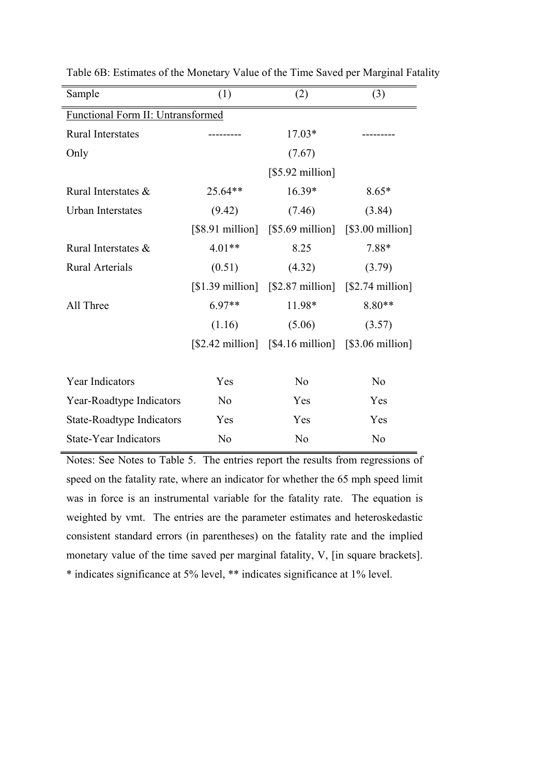| Sample                                   | (1)               | (2)                                                                                                                       | (3)              |  |  |  |  |
|------------------------------------------|-------------------|---------------------------------------------------------------------------------------------------------------------------|------------------|--|--|--|--|
| <b>Functional Form II: Untransformed</b> |                   |                                                                                                                           |                  |  |  |  |  |
| <b>Rural Interstates</b>                 |                   | $17.03*$                                                                                                                  |                  |  |  |  |  |
| Only                                     |                   | (7.67)                                                                                                                    |                  |  |  |  |  |
|                                          |                   | [\$5.92 million]                                                                                                          |                  |  |  |  |  |
| Rural Interstates &                      | 25.64**           | 16.39*                                                                                                                    | $8.65*$          |  |  |  |  |
| <b>Urban Interstates</b>                 | (9.42)            | (7.46)                                                                                                                    | (3.84)           |  |  |  |  |
|                                          | [\$8.91 million]  | $[$5.69$ million]                                                                                                         | [\$3.00 million] |  |  |  |  |
| Rural Interstates &                      | $4.01**$          | 8.25                                                                                                                      | 7.88*            |  |  |  |  |
| <b>Rural Arterials</b>                   | (0.51)            | (4.32)                                                                                                                    | (3.79)           |  |  |  |  |
|                                          | $[$1.39$ million] | $\lceil $2.87 \text{ million} \rceil \quad \lceil $2.74 \text{ million} \rceil$                                           |                  |  |  |  |  |
| All Three                                | $6.97**$          | 11.98*                                                                                                                    | $8.80**$         |  |  |  |  |
|                                          | (1.16)            | (5.06)                                                                                                                    | (3.57)           |  |  |  |  |
|                                          |                   | $\lceil $2.42 \text{ million} \rceil \quad \lceil $4.16 \text{ million} \rceil \quad \lceil $3.06 \text{ million} \rceil$ |                  |  |  |  |  |
|                                          |                   |                                                                                                                           |                  |  |  |  |  |
| Year Indicators                          | Yes               | N <sub>0</sub>                                                                                                            | N <sub>0</sub>   |  |  |  |  |
| Year-Roadtype Indicators                 | N <sub>0</sub>    | Yes                                                                                                                       | Yes              |  |  |  |  |
| <b>State-Roadtype Indicators</b>         | Yes               | Yes                                                                                                                       | Yes              |  |  |  |  |
| <b>State-Year Indicators</b>             | N <sub>o</sub>    | N <sub>o</sub>                                                                                                            | N <sub>0</sub>   |  |  |  |  |

Table 6B: Estimates of the Monetary Value of the Time Saved per Marginal Fatality

Notes: See Notes to Table 5. The entries report the results from regressions of speed on the fatality rate, where an indicator for whether the 65 mph speed limit was in force is an instrumental variable for the fatality rate. The equation is weighted by vmt. The entries are the parameter estimates and heteroskedastic consistent standard errors (in parentheses) on the fatality rate and the implied monetary value of the time saved per marginal fatality, V, [in square brackets]. \* indicates significance at 5% level, \*\* indicates significance at 1% level.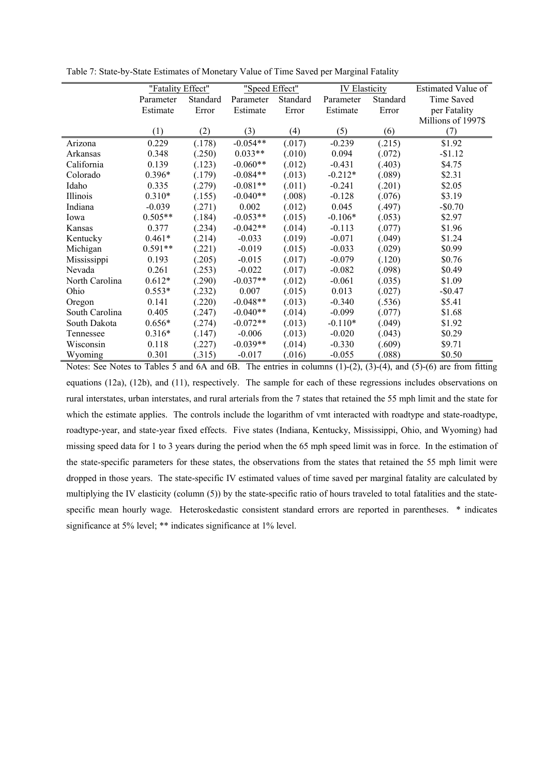|                | "Fatality Effect" |          | "Speed Effect" |          | <b>IV Elasticity</b> |          | Estimated Value of |
|----------------|-------------------|----------|----------------|----------|----------------------|----------|--------------------|
|                | Parameter         | Standard | Parameter      | Standard | Parameter            | Standard | Time Saved         |
|                | Estimate          | Error    | Estimate       | Error    | Estimate             | Error    | per Fatality       |
|                |                   |          |                |          |                      |          | Millions of 1997\$ |
|                | (1)               | (2)      | (3)            | (4)      | (5)                  | (6)      | (7)                |
| Arizona        | 0.229             | (.178)   | $-0.054**$     | (.017)   | $-0.239$             | (.215)   | \$1.92             |
| Arkansas       | 0.348             | (.250)   | $0.033**$      | (.010)   | 0.094                | (.072)   | $-$1.12$           |
| California     | 0.139             | (.123)   | $-0.060**$     | (.012)   | $-0.431$             | (.403)   | \$4.75             |
| Colorado       | 0.396*            | (.179)   | $-0.084**$     | (.013)   | $-0.212*$            | (.089)   | \$2.31             |
| Idaho          | 0.335             | (.279)   | $-0.081**$     | (.011)   | $-0.241$             | (.201)   | \$2.05             |
| Illinois       | $0.310*$          | (.155)   | $-0.040**$     | (.008)   | $-0.128$             | (.076)   | \$3.19             |
| Indiana        | $-0.039$          | (.271)   | 0.002          | (.012)   | 0.045                | (.497)   | $-$0.70$           |
| Iowa           | $0.505**$         | (.184)   | $-0.053**$     | (.015)   | $-0.106*$            | (.053)   | \$2.97             |
| Kansas         | 0.377             | (.234)   | $-0.042**$     | (.014)   | $-0.113$             | (.077)   | \$1.96             |
| Kentucky       | $0.461*$          | (.214)   | $-0.033$       | (.019)   | $-0.071$             | (.049)   | \$1.24             |
| Michigan       | $0.591**$         | (221)    | $-0.019$       | (.015)   | $-0.033$             | (.029)   | \$0.99             |
| Mississippi    | 0.193             | .205)    | $-0.015$       | (.017)   | $-0.079$             | (.120)   | \$0.76             |
| Nevada         | 0.261             | (.253)   | $-0.022$       | (.017)   | $-0.082$             | (.098)   | \$0.49             |
| North Carolina | $0.612*$          | .290)    | $-0.037**$     | (.012)   | $-0.061$             | (.035)   | \$1.09             |
| Ohio           | $0.553*$          | .232)    | 0.007          | (.015)   | 0.013                | (.027)   | $-$0.47$           |
| Oregon         | 0.141             | .220)    | $-0.048**$     | (.013)   | $-0.340$             | (.536)   | \$5.41             |
| South Carolina | 0.405             | (247)    | $-0.040**$     | (.014)   | $-0.099$             | (.077)   | \$1.68             |
| South Dakota   | $0.656*$          | (.274)   | $-0.072**$     | (.013)   | $-0.110*$            | (.049)   | \$1.92             |
| Tennessee      | $0.316*$          | (.147)   | $-0.006$       | (.013)   | $-0.020$             | (.043)   | \$0.29             |
| Wisconsin      | 0.118             | .227)    | $-0.039**$     | (.014)   | $-0.330$             | (.609)   | \$9.71             |
| Wyoming        | 0.301             | (315)    | $-0.017$       | (.016)   | $-0.055$             | (.088)   | \$0.50             |

Table 7: State-by-State Estimates of Monetary Value of Time Saved per Marginal Fatality

Notes: See Notes to Tables 5 and 6A and 6B. The entries in columns (1)-(2), (3)-(4), and (5)-(6) are from fitting equations (12a), (12b), and (11), respectively. The sample for each of these regressions includes observations on rural interstates, urban interstates, and rural arterials from the 7 states that retained the 55 mph limit and the state for which the estimate applies. The controls include the logarithm of vmt interacted with roadtype and state-roadtype, roadtype-year, and state-year fixed effects. Five states (Indiana, Kentucky, Mississippi, Ohio, and Wyoming) had missing speed data for 1 to 3 years during the period when the 65 mph speed limit was in force. In the estimation of the state-specific parameters for these states, the observations from the states that retained the 55 mph limit were dropped in those years. The state-specific IV estimated values of time saved per marginal fatality are calculated by multiplying the IV elasticity (column (5)) by the state-specific ratio of hours traveled to total fatalities and the statespecific mean hourly wage. Heteroskedastic consistent standard errors are reported in parentheses. \* indicates significance at 5% level; \*\* indicates significance at 1% level.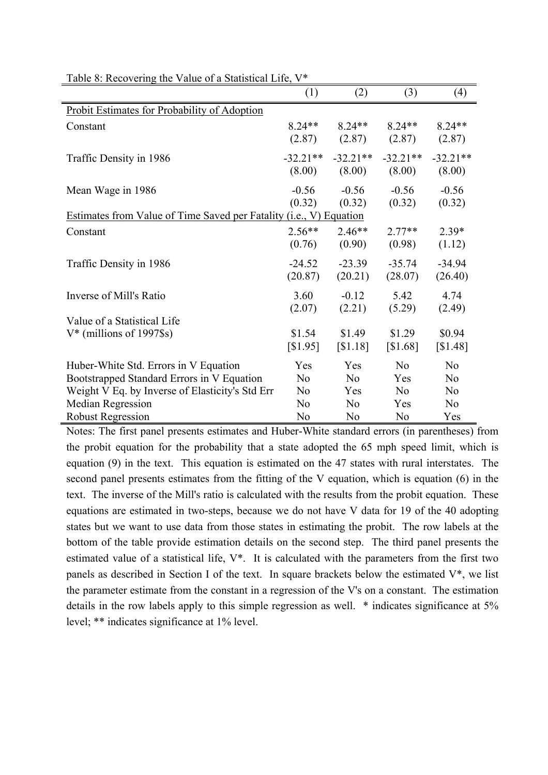|                                                                    | (1)                  | (2)                  | (3)                  | (4)                  |
|--------------------------------------------------------------------|----------------------|----------------------|----------------------|----------------------|
| Probit Estimates for Probability of Adoption                       |                      |                      |                      |                      |
| Constant                                                           | $8.24**$<br>(2.87)   | $8.24**$<br>(2.87)   | $8.24**$<br>(2.87)   | $8.24**$<br>(2.87)   |
| Traffic Density in 1986                                            | $-32.21**$<br>(8.00) | $-32.21**$<br>(8.00) | $-32.21**$<br>(8.00) | $-32.21**$<br>(8.00) |
| Mean Wage in 1986                                                  | $-0.56$<br>(0.32)    | $-0.56$<br>(0.32)    | $-0.56$<br>(0.32)    | $-0.56$<br>(0.32)    |
| Estimates from Value of Time Saved per Fatality (i.e., V) Equation |                      |                      |                      |                      |
| Constant                                                           | $2.56**$<br>(0.76)   | $2.46**$<br>(0.90)   | $2.77**$<br>(0.98)   | $2.39*$<br>(1.12)    |
| Traffic Density in 1986                                            | $-24.52$<br>(20.87)  | $-23.39$<br>(20.21)  | $-35.74$<br>(28.07)  | $-34.94$<br>(26.40)  |
| Inverse of Mill's Ratio                                            | 3.60<br>(2.07)       | $-0.12$<br>(2.21)    | 5.42<br>(5.29)       | 4.74<br>(2.49)       |
| Value of a Statistical Life                                        |                      |                      |                      |                      |
| $V^*$ (millions of 1997\$s)                                        | \$1.54<br>[S1.95]    | \$1.49<br>[S1.18]    | \$1.29<br>[S1.68]    | \$0.94<br>[S1.48]    |
| Huber-White Std. Errors in V Equation                              | Yes                  | Yes                  | N <sub>0</sub>       | N <sub>0</sub>       |
| Bootstrapped Standard Errors in V Equation                         | N <sub>0</sub>       | N <sub>o</sub>       | Yes                  | N <sub>0</sub>       |
| Weight V Eq. by Inverse of Elasticity's Std Err                    | N <sub>0</sub>       | Yes                  | N <sub>o</sub>       | N <sub>o</sub>       |
| <b>Median Regression</b>                                           | N <sub>0</sub>       | N <sub>0</sub>       | Yes                  | N <sub>o</sub>       |
| <b>Robust Regression</b>                                           | N <sub>o</sub>       | N <sub>0</sub>       | N <sub>0</sub>       | Yes                  |

Table 8: Recovering the Value of a Statistical Life, V\*

Notes: The first panel presents estimates and Huber-White standard errors (in parentheses) from the probit equation for the probability that a state adopted the 65 mph speed limit, which is equation (9) in the text. This equation is estimated on the 47 states with rural interstates. The second panel presents estimates from the fitting of the V equation, which is equation (6) in the text. The inverse of the Mill's ratio is calculated with the results from the probit equation. These equations are estimated in two-steps, because we do not have V data for 19 of the 40 adopting states but we want to use data from those states in estimating the probit. The row labels at the bottom of the table provide estimation details on the second step. The third panel presents the estimated value of a statistical life, V\*. It is calculated with the parameters from the first two panels as described in Section I of the text. In square brackets below the estimated  $V^*$ , we list the parameter estimate from the constant in a regression of the V's on a constant. The estimation details in the row labels apply to this simple regression as well. \* indicates significance at 5% level; \*\* indicates significance at 1% level.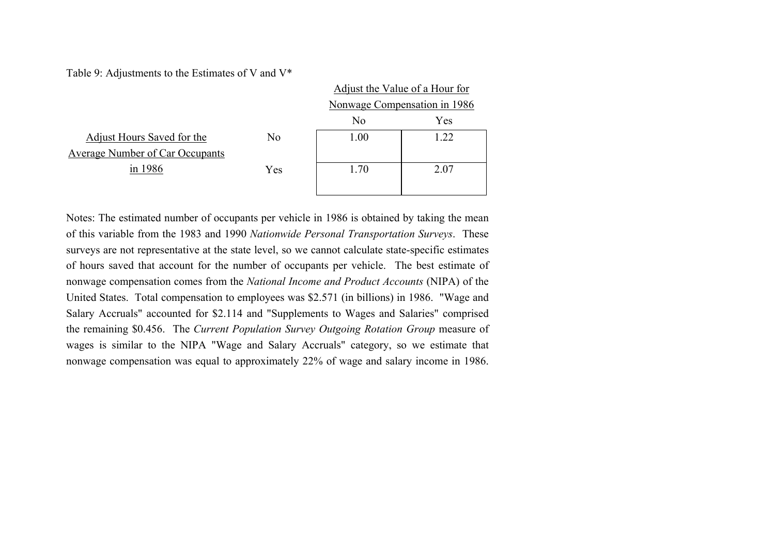Table 9: Adjustments to the Estimates of V and V\*

|                                        |                | Adjust the Value of a Hour for |      |  |
|----------------------------------------|----------------|--------------------------------|------|--|
|                                        |                | Nonwage Compensation in 1986   |      |  |
|                                        |                | N <sub>0</sub>                 | Yes  |  |
| Adjust Hours Saved for the             | N <sub>0</sub> | 1.00                           | 1.22 |  |
| <b>Average Number of Car Occupants</b> |                |                                |      |  |
| in 1986                                | Yes            | 1.70                           | 2.07 |  |
|                                        |                |                                |      |  |

Notes: The estimated number of occupants per vehicle in 1986 is obtained by taking the mean of this variable from the 1983 and 1990 *Nationwide Personal Transportation Surveys*. These surveys are not representative at the state level, so we cannot calculate state-specific estimates of hours saved that account for the number of occupants per vehicle. The best estimate of nonwage compensation comes from the *National Income and Product Accounts* (NIPA) of the United States. Total compensation to employees was \$2.571 (in billions) in 1986. "Wage and Salary Accruals" accounted for \$2.114 and "Supplements to Wages and Salaries" comprised the remaining \$0.456. The *Current Population Survey Outgoing Rotation Group* measure of wages is similar to the NIPA "Wage and Salary Accruals" category, so we estimate that nonwage compensation was equal to approximately 22% of wage and salary income in 1986.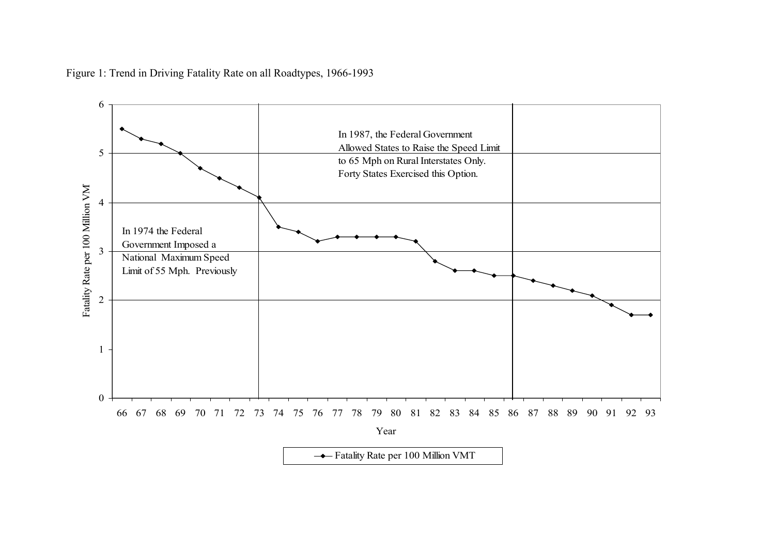

Figure 1: Trend in Driving Fatality Rate on all Roadtypes, 1966-1993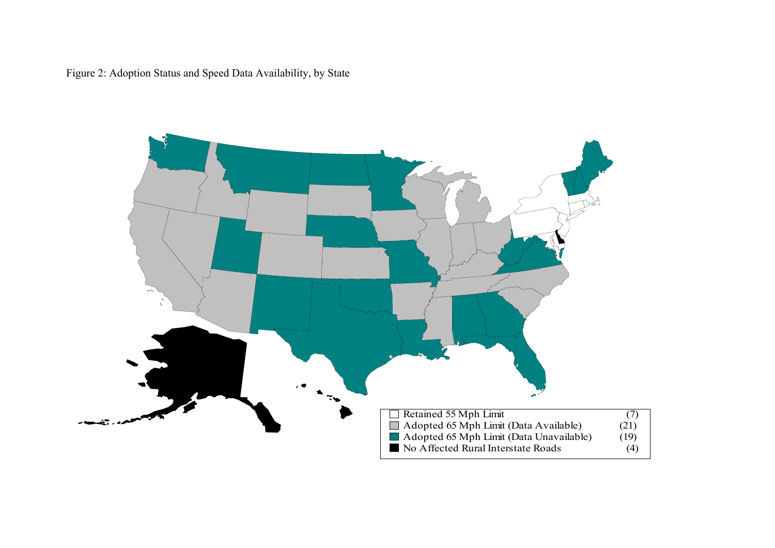Figure 2: Adoption Status and Speed Data Availability, by State

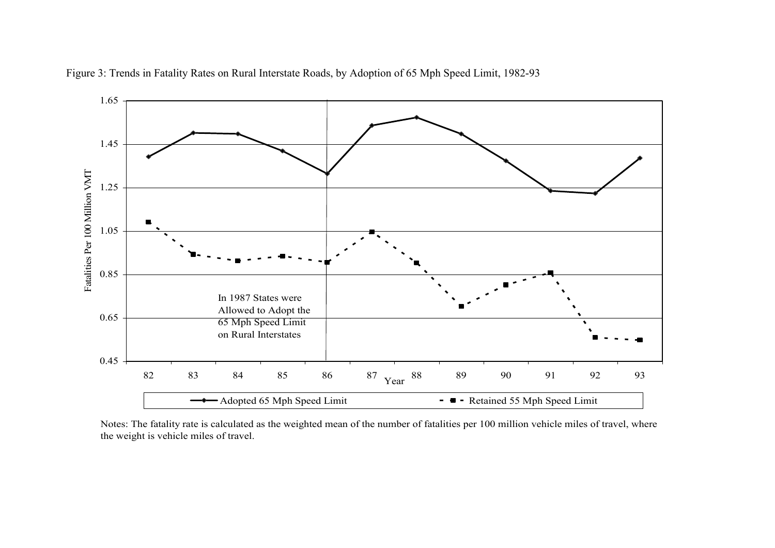

Figure 3: Trends in Fatality Rates on Rural Interstate Roads, by Adoption of 65 Mph Speed Limit, 1982-93

Notes: The fatality rate is calculated as the weighted mean of the number of fatalities per 100 million vehicle miles of travel, where the weight is vehicle miles of travel.